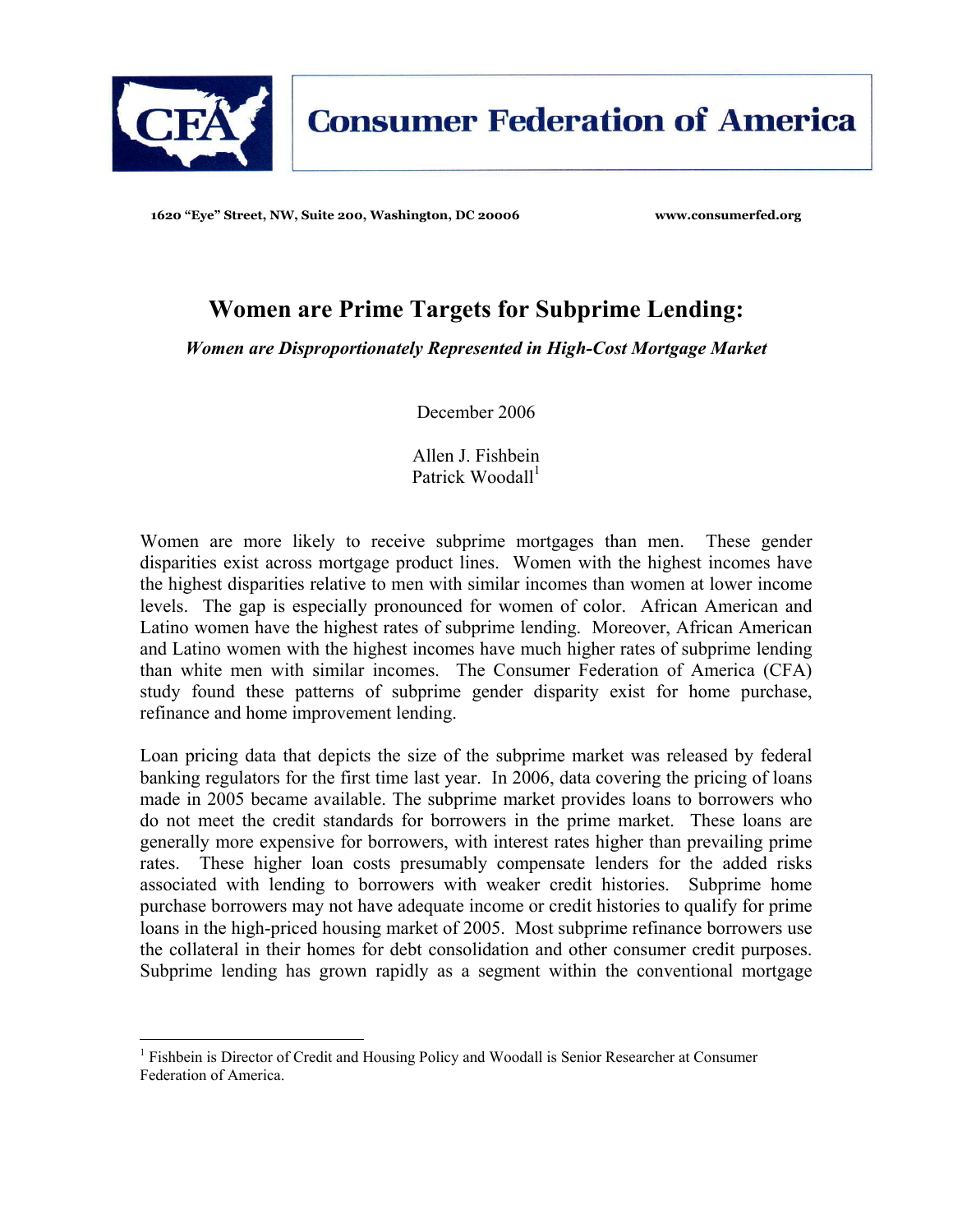

**1620 "Eye" Street, NW, Suite 200, Washington, DC 20006 www.consumerfed.org** 

# **Women are Prime Targets for Subprime Lending:**

*Women are Disproportionately Represented in High-Cost Mortgage Market* 

December 2006

Allen J. Fishbein Patrick Woodall $<sup>1</sup>$ </sup>

Women are more likely to receive subprime mortgages than men. These gender disparities exist across mortgage product lines. Women with the highest incomes have the highest disparities relative to men with similar incomes than women at lower income levels. The gap is especially pronounced for women of color. African American and Latino women have the highest rates of subprime lending. Moreover, African American and Latino women with the highest incomes have much higher rates of subprime lending than white men with similar incomes. The Consumer Federation of America (CFA) study found these patterns of subprime gender disparity exist for home purchase, refinance and home improvement lending.

Loan pricing data that depicts the size of the subprime market was released by federal banking regulators for the first time last year. In 2006, data covering the pricing of loans made in 2005 became available. The subprime market provides loans to borrowers who do not meet the credit standards for borrowers in the prime market. These loans are generally more expensive for borrowers, with interest rates higher than prevailing prime rates. These higher loan costs presumably compensate lenders for the added risks associated with lending to borrowers with weaker credit histories. Subprime home purchase borrowers may not have adequate income or credit histories to qualify for prime loans in the high-priced housing market of 2005. Most subprime refinance borrowers use the collateral in their homes for debt consolidation and other consumer credit purposes. Subprime lending has grown rapidly as a segment within the conventional mortgage

 $\overline{a}$ 

<sup>&</sup>lt;sup>1</sup> Fishbein is Director of Credit and Housing Policy and Woodall is Senior Researcher at Consumer Federation of America.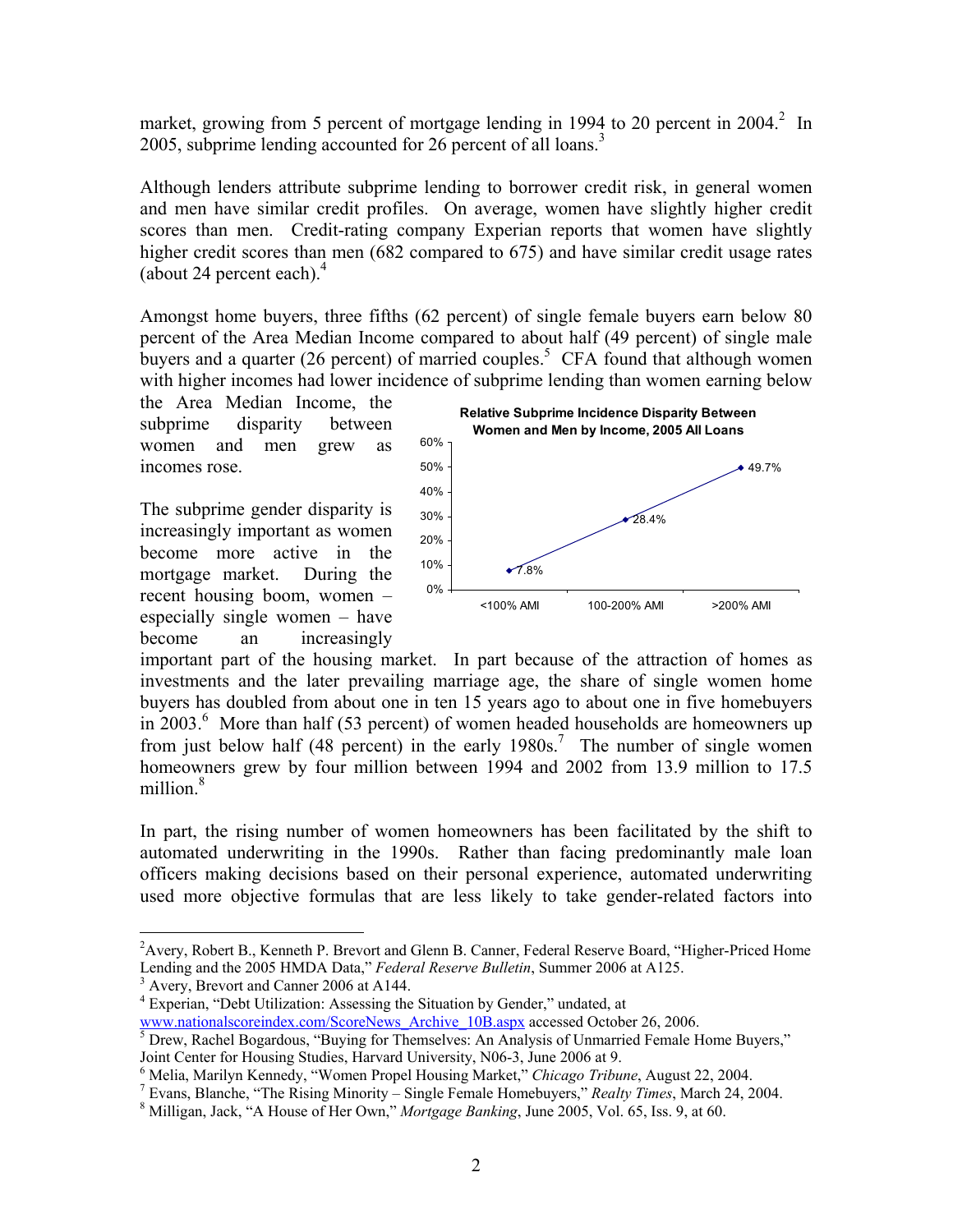market, growing from 5 percent of mortgage lending in 1994 to 20 percent in  $2004$ <sup>2</sup> In 2005, subprime lending accounted for 26 percent of all loans.<sup>3</sup>

Although lenders attribute subprime lending to borrower credit risk, in general women and men have similar credit profiles. On average, women have slightly higher credit scores than men. Credit-rating company Experian reports that women have slightly higher credit scores than men (682 compared to 675) and have similar credit usage rates (about 24 percent each). $4$ 

Amongst home buyers, three fifths (62 percent) of single female buyers earn below 80 percent of the Area Median Income compared to about half (49 percent) of single male buyers and a quarter (26 percent) of married couples.<sup>5</sup> CFA found that although women with higher incomes had lower incidence of subprime lending than women earning below

the Area Median Income, the subprime disparity between women and men grew as incomes rose.

The subprime gender disparity is increasingly important as women become more active in the mortgage market. During the recent housing boom, women – especially single women – have become an increasingly



important part of the housing market. In part because of the attraction of homes as investments and the later prevailing marriage age, the share of single women home buyers has doubled from about one in ten 15 years ago to about one in five homebuyers in 2003.<sup>6</sup> More than half (53 percent) of women headed households are homeowners up from just below half (48 percent) in the early  $1980s$ .<sup>7</sup> The number of single women homeowners grew by four million between 1994 and 2002 from 13.9 million to 17.5 million.<sup>8</sup>

In part, the rising number of women homeowners has been facilitated by the shift to automated underwriting in the 1990s. Rather than facing predominantly male loan officers making decisions based on their personal experience, automated underwriting used more objective formulas that are less likely to take gender-related factors into

1

<sup>&</sup>lt;sup>2</sup> Avery, Robert B., Kenneth P. Brevort and Glenn B. Canner, Federal Reserve Board, "Higher-Priced Home Lending and the 2005 HMDA Data," *Federal Reserve Bulletin*, Summer 2006 at A125. 3

<sup>&</sup>lt;sup>3</sup> Avery, Brevort and Canner 2006 at A144.

<sup>&</sup>lt;sup>4</sup> Experian, "Debt Utilization: Assessing the Situation by Gender," undated, at www.nationalscoreindex.com/ScoreNews\_Archive\_10B.aspx accessed October 26, 2006.

<sup>&</sup>lt;sup>5</sup> Drew, Rachel Bogardous, "Buying for Themselves: An Analysis of Unmarried Female Home Buyers," Joint Center for Housing Studies, Harvard University, N06-3, June 2006 at 9.

<sup>6</sup> Melia, Marilyn Kennedy, "Women Propel Housing Market," *Chicago Tribune*, August 22, 2004. 7

<sup>&</sup>lt;sup>7</sup> Evans, Blanche, "The Rising Minority – Single Female Homebuyers," *Realty Times*, March 24, 2004. <sup>8</sup> Milligan, Jack, "A House of Her Own," *Mortgage Banking*, June 2005, Vol. 65, Iss. 9, at 60.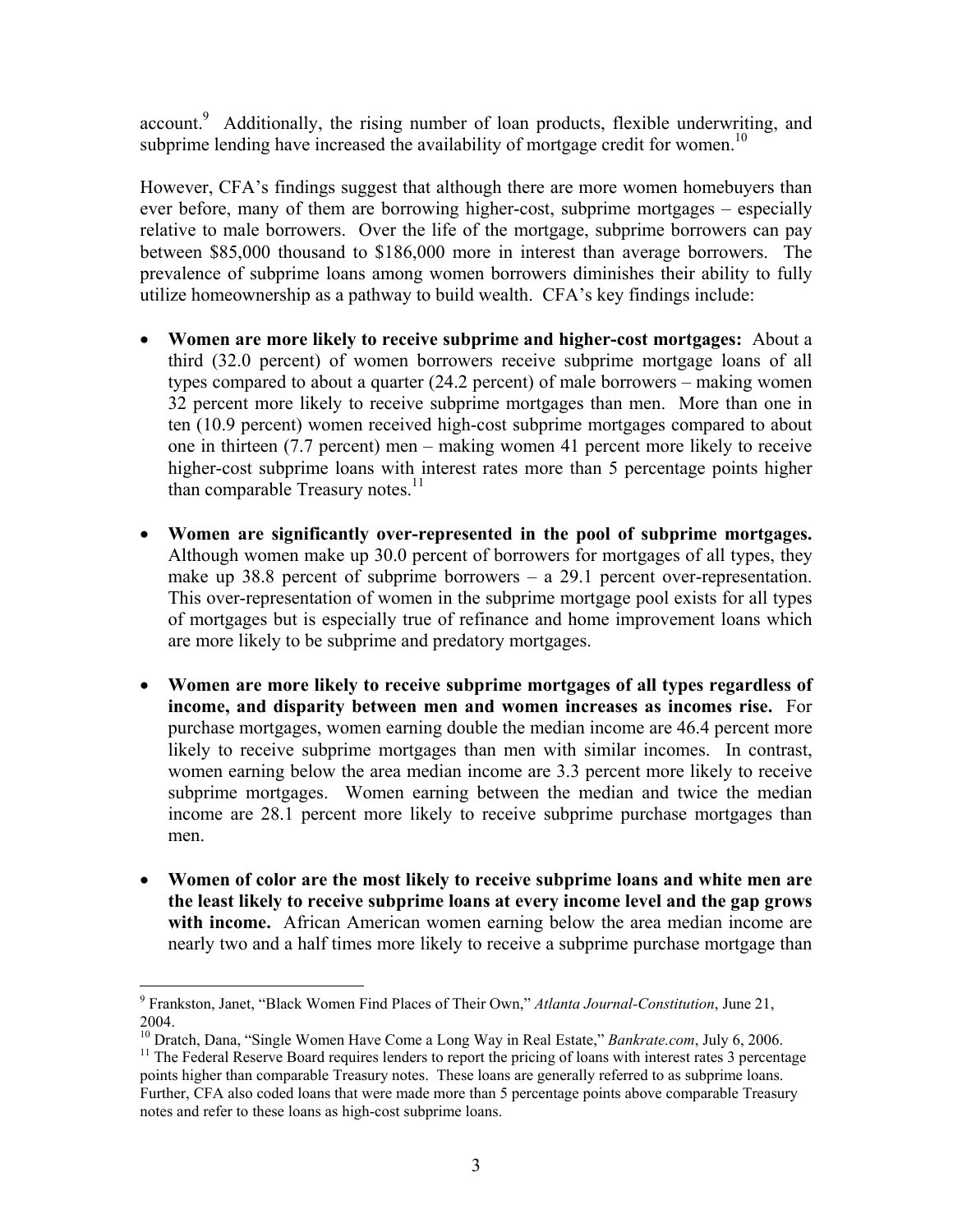account.<sup>9</sup> Additionally, the rising number of loan products, flexible underwriting, and subprime lending have increased the availability of mortgage credit for women.<sup>10</sup>

However, CFA's findings suggest that although there are more women homebuyers than ever before, many of them are borrowing higher-cost, subprime mortgages – especially relative to male borrowers. Over the life of the mortgage, subprime borrowers can pay between \$85,000 thousand to \$186,000 more in interest than average borrowers. The prevalence of subprime loans among women borrowers diminishes their ability to fully utilize homeownership as a pathway to build wealth. CFA's key findings include:

- **Women are more likely to receive subprime and higher-cost mortgages:** About a third (32.0 percent) of women borrowers receive subprime mortgage loans of all types compared to about a quarter (24.2 percent) of male borrowers – making women 32 percent more likely to receive subprime mortgages than men. More than one in ten (10.9 percent) women received high-cost subprime mortgages compared to about one in thirteen (7.7 percent) men – making women 41 percent more likely to receive higher-cost subprime loans with interest rates more than 5 percentage points higher than comparable Treasury notes.<sup>11</sup>
- **Women are significantly over-represented in the pool of subprime mortgages.**  Although women make up 30.0 percent of borrowers for mortgages of all types, they make up 38.8 percent of subprime borrowers – a 29.1 percent over-representation. This over-representation of women in the subprime mortgage pool exists for all types of mortgages but is especially true of refinance and home improvement loans which are more likely to be subprime and predatory mortgages.
- **Women are more likely to receive subprime mortgages of all types regardless of income, and disparity between men and women increases as incomes rise.** For purchase mortgages, women earning double the median income are 46.4 percent more likely to receive subprime mortgages than men with similar incomes. In contrast, women earning below the area median income are 3.3 percent more likely to receive subprime mortgages. Women earning between the median and twice the median income are 28.1 percent more likely to receive subprime purchase mortgages than men.
- **Women of color are the most likely to receive subprime loans and white men are the least likely to receive subprime loans at every income level and the gap grows with income.** African American women earning below the area median income are nearly two and a half times more likely to receive a subprime purchase mortgage than

 $\overline{a}$ 

<sup>9</sup> Frankston, Janet, "Black Women Find Places of Their Own," *Atlanta Journal-Constitution*, June 21,

<sup>2004.&</sup>lt;br><sup>10</sup> Dratch, Dana, "Single Women Have Come a Long Way in Real Estate," *Bankrate.com*, July 6, 2006.

<sup>&</sup>lt;sup>11</sup> The Federal Reserve Board requires lenders to report the pricing of loans with interest rates 3 percentage points higher than comparable Treasury notes. These loans are generally referred to as subprime loans. Further, CFA also coded loans that were made more than 5 percentage points above comparable Treasury notes and refer to these loans as high-cost subprime loans.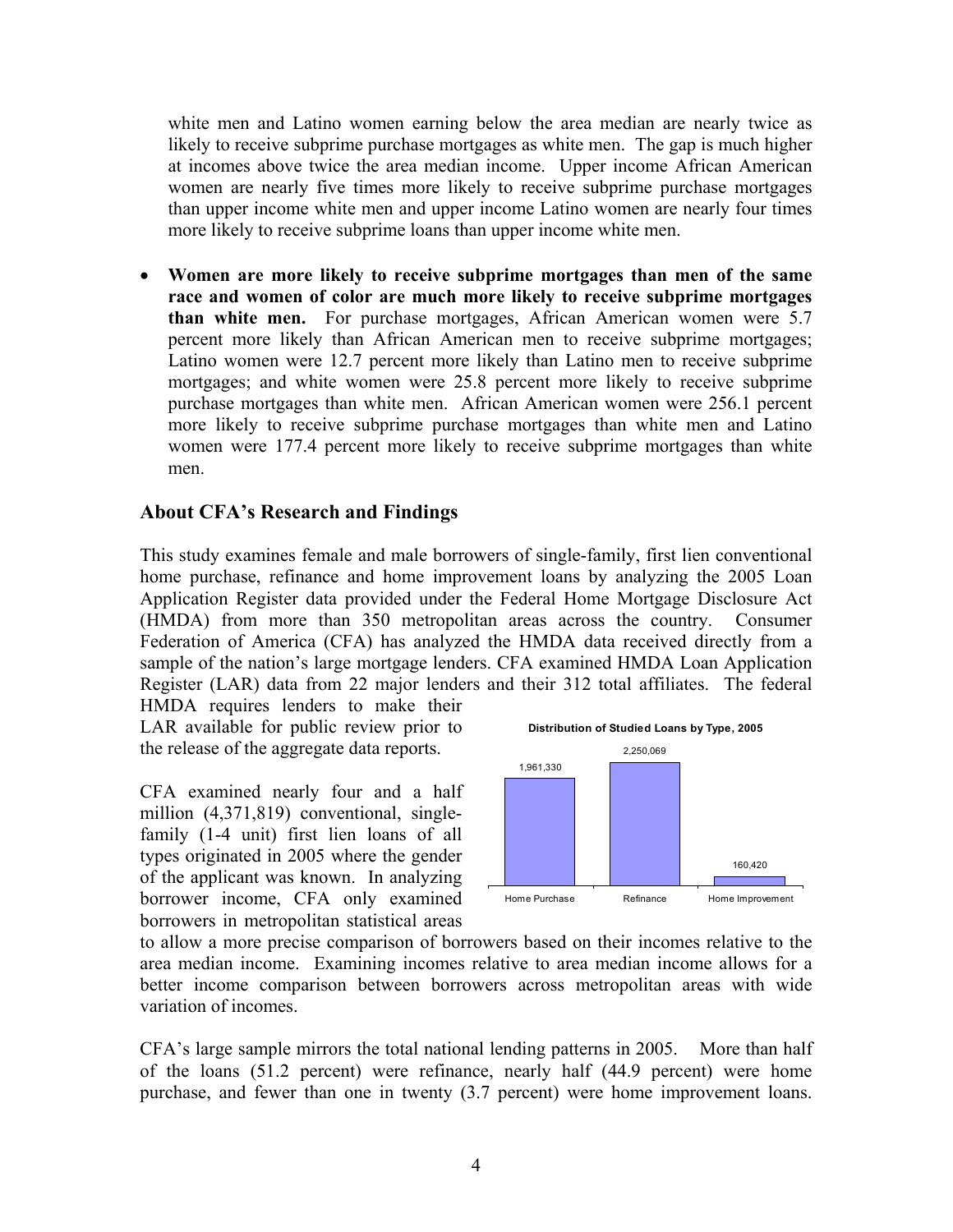white men and Latino women earning below the area median are nearly twice as likely to receive subprime purchase mortgages as white men. The gap is much higher at incomes above twice the area median income. Upper income African American women are nearly five times more likely to receive subprime purchase mortgages than upper income white men and upper income Latino women are nearly four times more likely to receive subprime loans than upper income white men.

• **Women are more likely to receive subprime mortgages than men of the same race and women of color are much more likely to receive subprime mortgages than white men.** For purchase mortgages, African American women were 5.7 percent more likely than African American men to receive subprime mortgages; Latino women were 12.7 percent more likely than Latino men to receive subprime mortgages; and white women were 25.8 percent more likely to receive subprime purchase mortgages than white men. African American women were 256.1 percent more likely to receive subprime purchase mortgages than white men and Latino women were 177.4 percent more likely to receive subprime mortgages than white men.

# **About CFA's Research and Findings**

This study examines female and male borrowers of single-family, first lien conventional home purchase, refinance and home improvement loans by analyzing the 2005 Loan Application Register data provided under the Federal Home Mortgage Disclosure Act (HMDA) from more than 350 metropolitan areas across the country. Consumer Federation of America (CFA) has analyzed the HMDA data received directly from a sample of the nation's large mortgage lenders. CFA examined HMDA Loan Application Register (LAR) data from 22 major lenders and their 312 total affiliates. The federal HMDA requires lenders to make their

LAR available for public review prior to the release of the aggregate data reports.

CFA examined nearly four and a half million (4,371,819) conventional, singlefamily (1-4 unit) first lien loans of all types originated in 2005 where the gender of the applicant was known. In analyzing borrower income, CFA only examined borrowers in metropolitan statistical areas



to allow a more precise comparison of borrowers based on their incomes relative to the area median income. Examining incomes relative to area median income allows for a better income comparison between borrowers across metropolitan areas with wide variation of incomes.

CFA's large sample mirrors the total national lending patterns in 2005. More than half of the loans (51.2 percent) were refinance, nearly half (44.9 percent) were home purchase, and fewer than one in twenty (3.7 percent) were home improvement loans.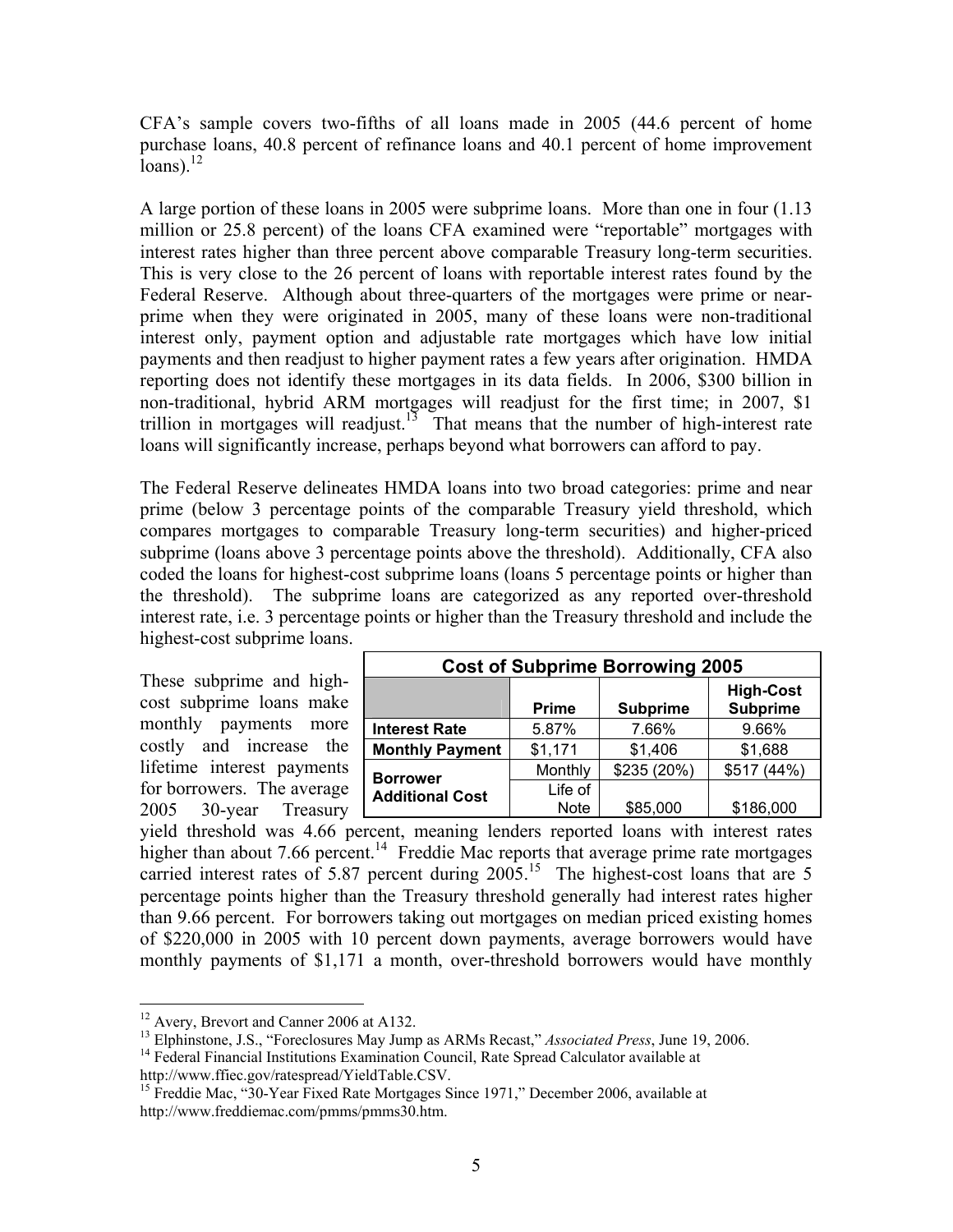CFA's sample covers two-fifths of all loans made in 2005 (44.6 percent of home purchase loans, 40.8 percent of refinance loans and 40.1 percent of home improvement  $\bar{l}$ oans).<sup>12</sup>

A large portion of these loans in 2005 were subprime loans. More than one in four (1.13 million or 25.8 percent) of the loans CFA examined were "reportable" mortgages with interest rates higher than three percent above comparable Treasury long-term securities. This is very close to the 26 percent of loans with reportable interest rates found by the Federal Reserve. Although about three-quarters of the mortgages were prime or nearprime when they were originated in 2005, many of these loans were non-traditional interest only, payment option and adjustable rate mortgages which have low initial payments and then readjust to higher payment rates a few years after origination. HMDA reporting does not identify these mortgages in its data fields. In 2006, \$300 billion in non-traditional, hybrid ARM mortgages will readjust for the first time; in 2007, \$1 trillion in mortgages will readjust.<sup>13</sup> That means that the number of high-interest rate loans will significantly increase, perhaps beyond what borrowers can afford to pay.

The Federal Reserve delineates HMDA loans into two broad categories: prime and near prime (below 3 percentage points of the comparable Treasury yield threshold, which compares mortgages to comparable Treasury long-term securities) and higher-priced subprime (loans above 3 percentage points above the threshold). Additionally, CFA also coded the loans for highest-cost subprime loans (loans 5 percentage points or higher than the threshold). The subprime loans are categorized as any reported over-threshold interest rate, i.e. 3 percentage points or higher than the Treasury threshold and include the highest-cost subprime loans.

These subprime and highcost subprime loans make monthly payments more costly and increase the lifetime interest payments for borrowers. The average 2005 30-year Treasury

| <b>Cost of Subprime Borrowing 2005</b> |                        |                 |                                     |  |  |  |
|----------------------------------------|------------------------|-----------------|-------------------------------------|--|--|--|
|                                        | <b>Prime</b>           | <b>Subprime</b> | <b>High-Cost</b><br><b>Subprime</b> |  |  |  |
| <b>Interest Rate</b>                   | 5.87%                  | 7.66%           | 9.66%                               |  |  |  |
| <b>Monthly Payment</b>                 | \$1,171                | \$1,406         | \$1,688                             |  |  |  |
| <b>Borrower</b>                        | Monthly                | \$235 (20%)     | \$517 (44%)                         |  |  |  |
| <b>Additional Cost</b>                 | Life of<br><b>Note</b> | \$85,000        | \$186,000                           |  |  |  |

yield threshold was 4.66 percent, meaning lenders reported loans with interest rates higher than about 7.66 percent.<sup>14</sup> Freddie Mac reports that average prime rate mortgages carried interest rates of 5.87 percent during  $2005$ .<sup>15</sup> The highest-cost loans that are 5 percentage points higher than the Treasury threshold generally had interest rates higher than 9.66 percent. For borrowers taking out mortgages on median priced existing homes of \$220,000 in 2005 with 10 percent down payments, average borrowers would have monthly payments of \$1,171 a month, over-threshold borrowers would have monthly

 $\overline{a}$ <sup>12</sup> Avery, Brevort and Canner 2006 at A132.

<sup>&</sup>lt;sup>13</sup> Elphinstone, J.S., "Foreclosures May Jump as ARMs Recast," *Associated Press*, June 19, 2006.<sup>14</sup> Federal Financial Institutions Examination Council, Rate Spread Calculator available at http://www.ffiec.gov/ratespread

<sup>&</sup>lt;sup>15</sup> Freddie Mac, "30-Year Fixed Rate Mortgages Since 1971," December 2006, available at http://www.freddiemac.com/pmms/pmms30.htm.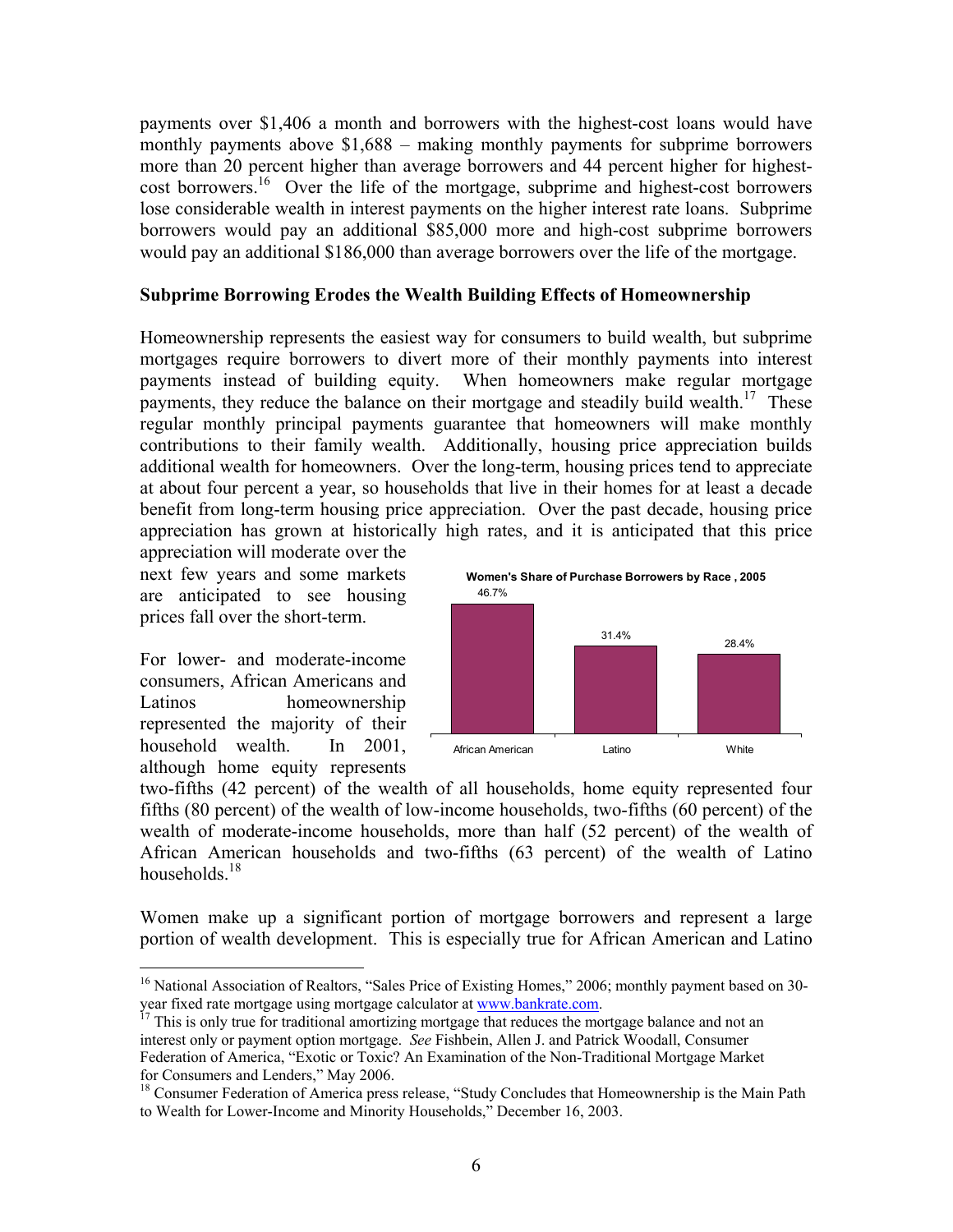payments over \$1,406 a month and borrowers with the highest-cost loans would have monthly payments above \$1,688 – making monthly payments for subprime borrowers more than 20 percent higher than average borrowers and 44 percent higher for highestcost borrowers.<sup>16</sup> Over the life of the mortgage, subprime and highest-cost borrowers lose considerable wealth in interest payments on the higher interest rate loans. Subprime borrowers would pay an additional \$85,000 more and high-cost subprime borrowers would pay an additional \$186,000 than average borrowers over the life of the mortgage.

#### **Subprime Borrowing Erodes the Wealth Building Effects of Homeownership**

Homeownership represents the easiest way for consumers to build wealth, but subprime mortgages require borrowers to divert more of their monthly payments into interest payments instead of building equity. When homeowners make regular mortgage payments, they reduce the balance on their mortgage and steadily build wealth.<sup>17</sup> These regular monthly principal payments guarantee that homeowners will make monthly contributions to their family wealth. Additionally, housing price appreciation builds additional wealth for homeowners. Over the long-term, housing prices tend to appreciate at about four percent a year, so households that live in their homes for at least a decade benefit from long-term housing price appreciation. Over the past decade, housing price appreciation has grown at historically high rates, and it is anticipated that this price

appreciation will moderate over the next few years and some markets are anticipated to see housing prices fall over the short-term.

For lower- and moderate-income consumers, African Americans and Latinos homeownership represented the majority of their household wealth. In 2001, although home equity represents

 $\overline{a}$ 



two-fifths (42 percent) of the wealth of all households, home equity represented four fifths (80 percent) of the wealth of low-income households, two-fifths (60 percent) of the wealth of moderate-income households, more than half (52 percent) of the wealth of African American households and two-fifths (63 percent) of the wealth of Latino households.<sup>18</sup>

Women make up a significant portion of mortgage borrowers and represent a large portion of wealth development. This is especially true for African American and Latino

<sup>&</sup>lt;sup>16</sup> National Association of Realtors, "Sales Price of Existing Homes," 2006; monthly payment based on 30-year fixed rate mortgage using mortgage calculator at  $[www.bankrate.com](https://www.bankrate.com)$ 

<sup>&</sup>lt;sup>7</sup> This is only true for traditional amortizing mortgage that reduces the mortgage balance and not an interest only or payment option mortgage. *See* Fishbein, Allen J. and Patrick Woodall, Consumer Federation of America, "Exotic or Toxic? An Examination of the Non-Traditional Mortgage Market for Consumers and Lenders," May 2006.

<sup>&</sup>lt;sup>18</sup> Consumer Federation of America press release, "Study Concludes that Homeownership is the Main Path to Wealth for Lower-Income and Minority Households," December 16, 2003.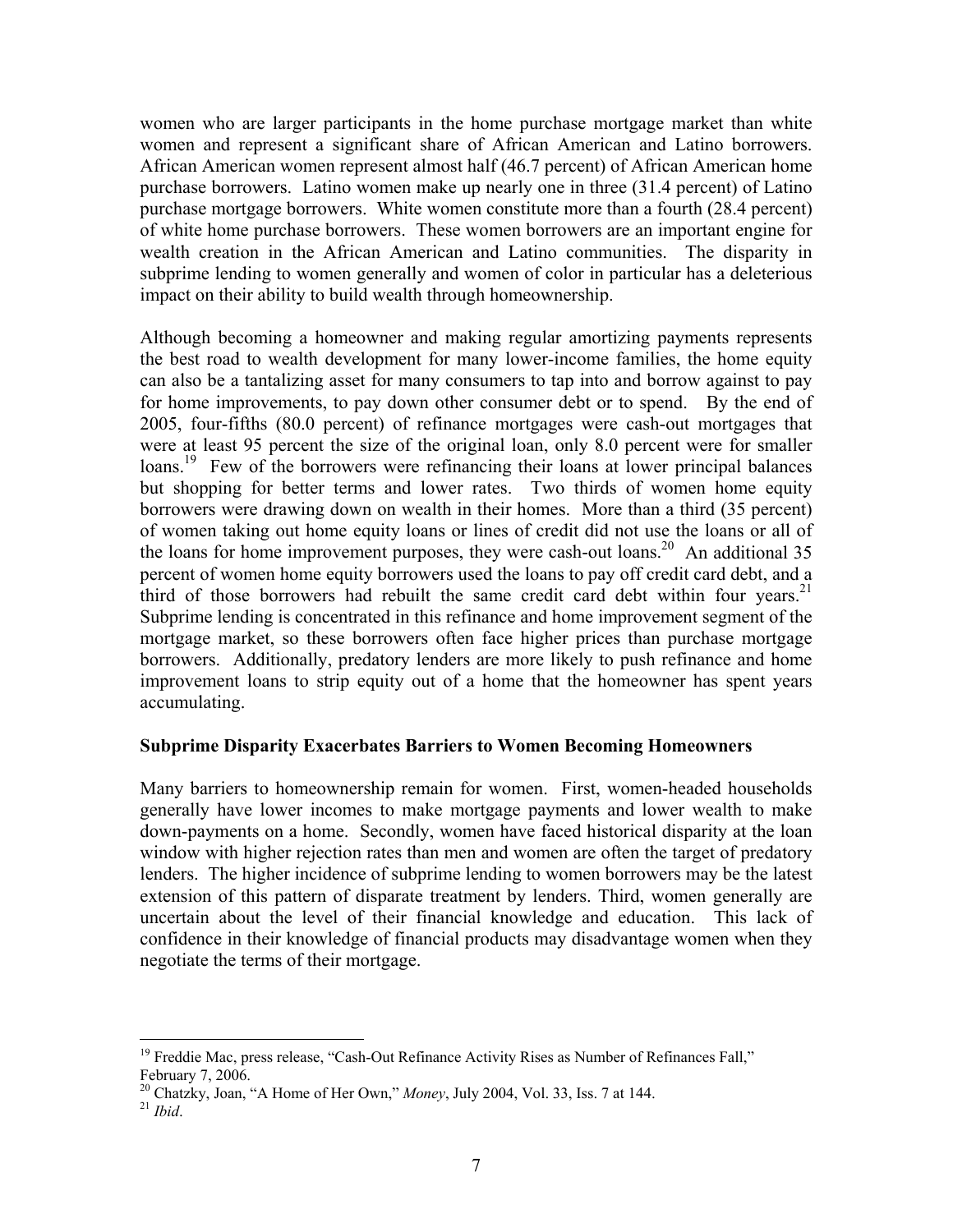women who are larger participants in the home purchase mortgage market than white women and represent a significant share of African American and Latino borrowers. African American women represent almost half (46.7 percent) of African American home purchase borrowers. Latino women make up nearly one in three (31.4 percent) of Latino purchase mortgage borrowers. White women constitute more than a fourth (28.4 percent) of white home purchase borrowers. These women borrowers are an important engine for wealth creation in the African American and Latino communities. The disparity in subprime lending to women generally and women of color in particular has a deleterious impact on their ability to build wealth through homeownership.

Although becoming a homeowner and making regular amortizing payments represents the best road to wealth development for many lower-income families, the home equity can also be a tantalizing asset for many consumers to tap into and borrow against to pay for home improvements, to pay down other consumer debt or to spend. By the end of 2005, four-fifths (80.0 percent) of refinance mortgages were cash-out mortgages that were at least 95 percent the size of the original loan, only 8.0 percent were for smaller loans.<sup>19</sup> Few of the borrowers were refinancing their loans at lower principal balances but shopping for better terms and lower rates. Two thirds of women home equity borrowers were drawing down on wealth in their homes. More than a third (35 percent) of women taking out home equity loans or lines of credit did not use the loans or all of the loans for home improvement purposes, they were cash-out loans.<sup>20</sup> An additional 35 percent of women home equity borrowers used the loans to pay off credit card debt, and a third of those borrowers had rebuilt the same credit card debt within four years.<sup>21</sup> Subprime lending is concentrated in this refinance and home improvement segment of the mortgage market, so these borrowers often face higher prices than purchase mortgage borrowers. Additionally, predatory lenders are more likely to push refinance and home improvement loans to strip equity out of a home that the homeowner has spent years accumulating.

# **Subprime Disparity Exacerbates Barriers to Women Becoming Homeowners**

Many barriers to homeownership remain for women. First, women-headed households generally have lower incomes to make mortgage payments and lower wealth to make down-payments on a home. Secondly, women have faced historical disparity at the loan window with higher rejection rates than men and women are often the target of predatory lenders. The higher incidence of subprime lending to women borrowers may be the latest extension of this pattern of disparate treatment by lenders. Third, women generally are uncertain about the level of their financial knowledge and education. This lack of confidence in their knowledge of financial products may disadvantage women when they negotiate the terms of their mortgage.

<u>.</u>

 $19$  Freddie Mac, press release, "Cash-Out Refinance Activity Rises as Number of Refinances Fall," February 7, 2006.

<sup>20</sup> Chatzky, Joan, "A Home of Her Own," *Money*, July 2004, Vol. 33, Iss. 7 at 144. 21 *Ibid*.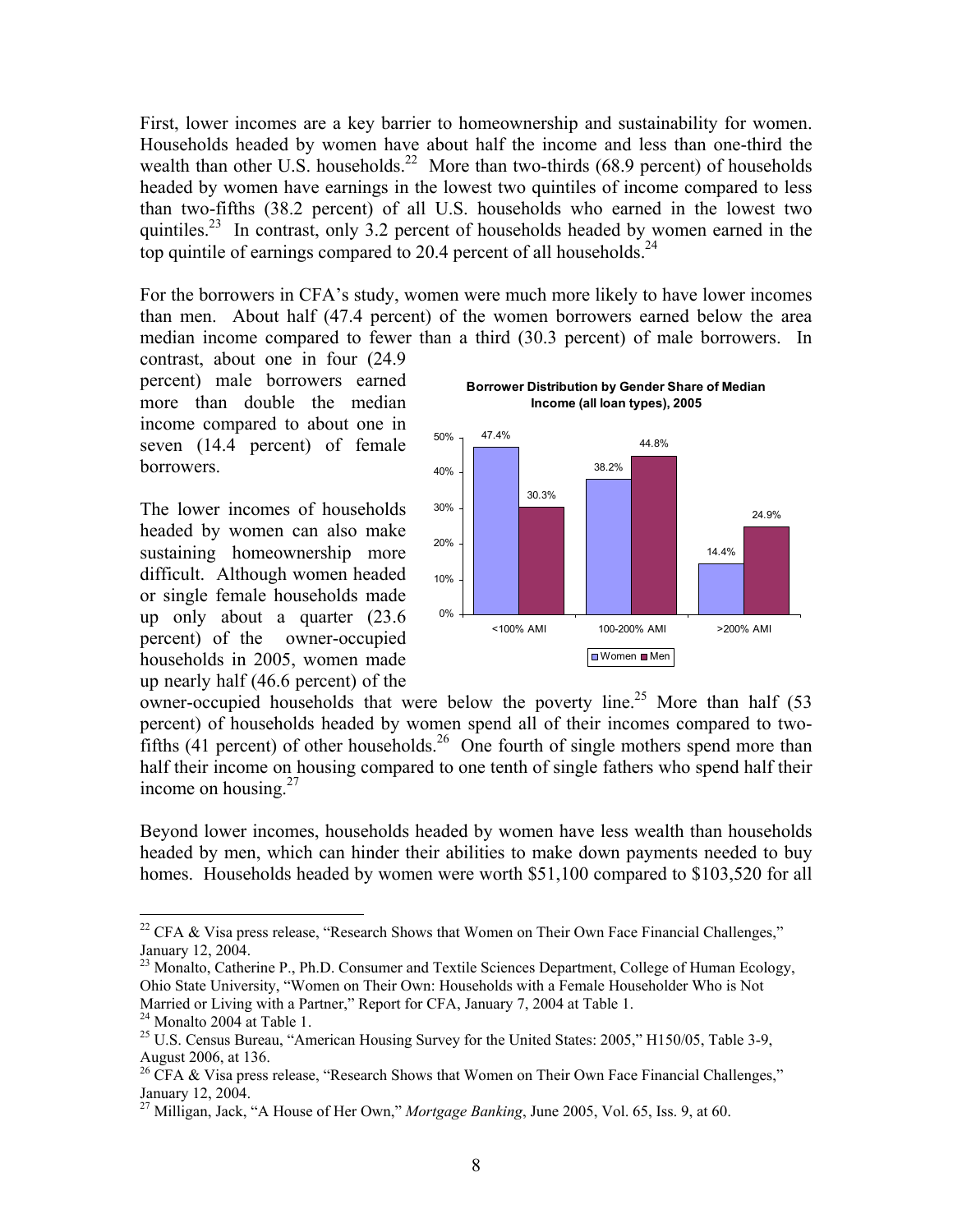First, lower incomes are a key barrier to homeownership and sustainability for women. Households headed by women have about half the income and less than one-third the wealth than other U.S. households.<sup>22</sup> More than two-thirds (68.9 percent) of households headed by women have earnings in the lowest two quintiles of income compared to less than two-fifths (38.2 percent) of all U.S. households who earned in the lowest two quintiles.<sup>23</sup> In contrast, only 3.2 percent of households headed by women earned in the top quintile of earnings compared to 20.4 percent of all households.<sup>24</sup>

For the borrowers in CFA's study, women were much more likely to have lower incomes than men. About half (47.4 percent) of the women borrowers earned below the area median income compared to fewer than a third (30.3 percent) of male borrowers. In

contrast, about one in four (24.9 percent) male borrowers earned more than double the median income compared to about one in seven (14.4 percent) of female borrowers.

The lower incomes of households headed by women can also make sustaining homeownership more difficult. Although women headed or single female households made up only about a quarter (23.6 percent) of the owner-occupied households in 2005, women made up nearly half (46.6 percent) of the



owner-occupied households that were below the poverty line.<sup>25</sup> More than half  $(53)$ percent) of households headed by women spend all of their incomes compared to twofifths  $(41$  percent) of other households.<sup>26</sup> One fourth of single mothers spend more than half their income on housing compared to one tenth of single fathers who spend half their income on housing. $27$ 

Beyond lower incomes, households headed by women have less wealth than households headed by men, which can hinder their abilities to make down payments needed to buy homes. Households headed by women were worth \$51,100 compared to \$103,520 for all

1

<sup>&</sup>lt;sup>22</sup> CFA & Visa press release, "Research Shows that Women on Their Own Face Financial Challenges," January 12, 2004.

<sup>&</sup>lt;sup>23</sup> Monalto, Catherine P., Ph.D. Consumer and Textile Sciences Department, College of Human Ecology, Ohio State University, "Women on Their Own: Households with a Female Householder Who is Not Married or Living with a Partner," Report for CFA, January 7, 2004 at Table 1.

 $24$  Monalto 2004 at Table 1.

<sup>&</sup>lt;sup>25</sup> U.S. Census Bureau, "American Housing Survey for the United States: 2005," H150/05, Table 3-9, August 2006, at 136.

 $26$  CFA & Visa press release, "Research Shows that Women on Their Own Face Financial Challenges," January 12, 2004.

<sup>27</sup> Milligan, Jack, "A House of Her Own," *Mortgage Banking*, June 2005, Vol. 65, Iss. 9, at 60.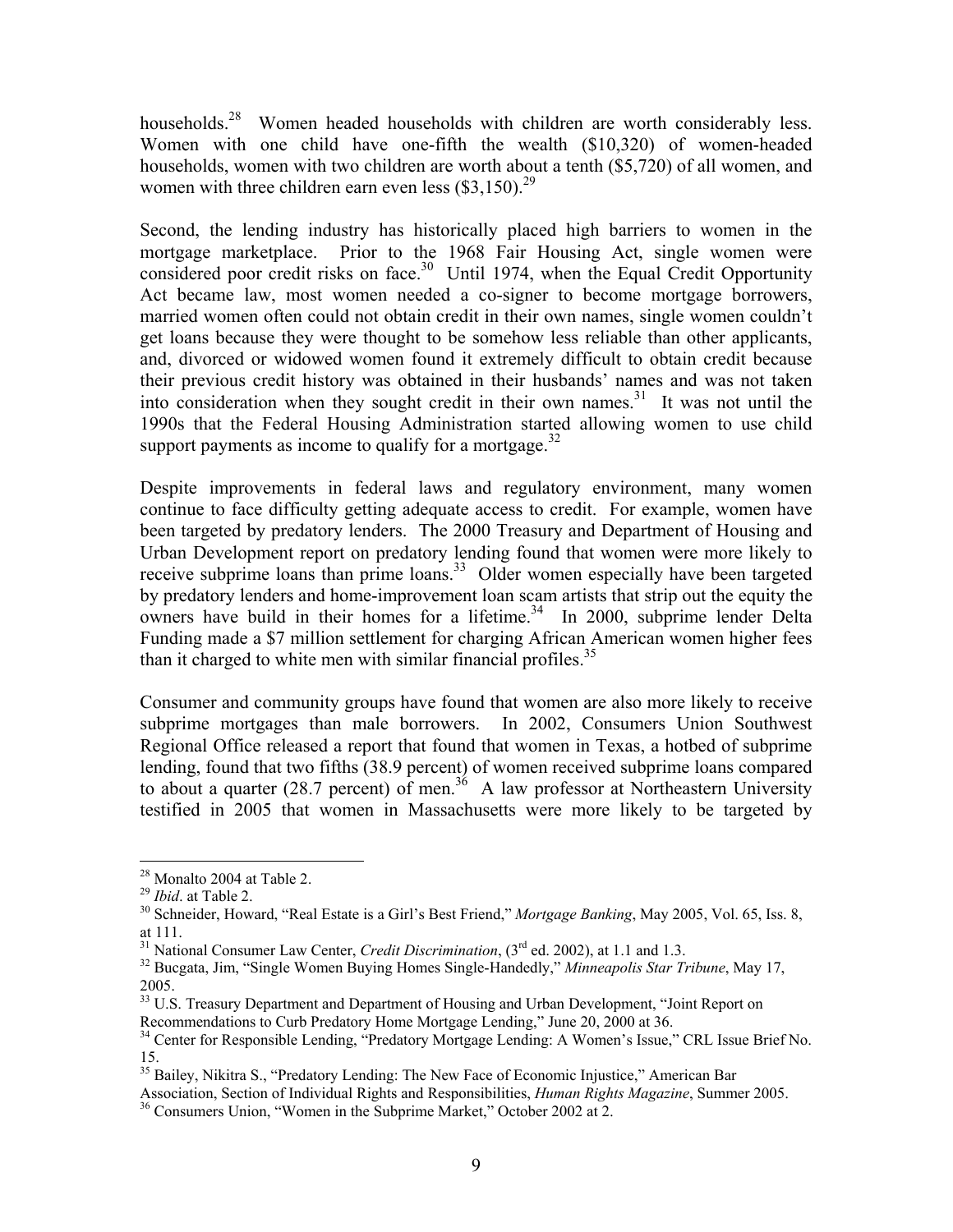households.<sup>28</sup> Women headed households with children are worth considerably less. Women with one child have one-fifth the wealth (\$10,320) of women-headed households, women with two children are worth about a tenth (\$5,720) of all women, and women with three children earn even less  $(\$3,150)^{29}$ 

Second, the lending industry has historically placed high barriers to women in the mortgage marketplace. Prior to the 1968 Fair Housing Act, single women were considered poor credit risks on face.<sup>30</sup> Until 1974, when the Equal Credit Opportunity Act became law, most women needed a co-signer to become mortgage borrowers, married women often could not obtain credit in their own names, single women couldn't get loans because they were thought to be somehow less reliable than other applicants, and, divorced or widowed women found it extremely difficult to obtain credit because their previous credit history was obtained in their husbands' names and was not taken into consideration when they sought credit in their own names.<sup>31</sup> It was not until the 1990s that the Federal Housing Administration started allowing women to use child support payments as income to qualify for a mortgage.<sup>32</sup>

Despite improvements in federal laws and regulatory environment, many women continue to face difficulty getting adequate access to credit. For example, women have been targeted by predatory lenders. The 2000 Treasury and Department of Housing and Urban Development report on predatory lending found that women were more likely to receive subprime loans than prime loans.<sup>33</sup> Older women especially have been targeted by predatory lenders and home-improvement loan scam artists that strip out the equity the owners have build in their homes for a lifetime.<sup>34</sup> In 2000, subprime lender Delta Funding made a \$7 million settlement for charging African American women higher fees than it charged to white men with similar financial profiles.<sup>35</sup>

Consumer and community groups have found that women are also more likely to receive subprime mortgages than male borrowers. In 2002, Consumers Union Southwest Regional Office released a report that found that women in Texas, a hotbed of subprime lending, found that two fifths (38.9 percent) of women received subprime loans compared to about a quarter (28.7 percent) of men.<sup>36</sup> A law professor at Northeastern University testified in 2005 that women in Massachusetts were more likely to be targeted by

 $\overline{a}$ 

<sup>&</sup>lt;sup>28</sup> Monalto 2004 at Table 2.<br><sup>29</sup> *Ibid.* at Table 2.

<sup>&</sup>lt;sup>30</sup> Schneider, Howard, "Real Estate is a Girl's Best Friend," Mortgage Banking, May 2005, Vol. 65, Iss. 8, at 111.<br>
<sup>31</sup> National Consumer Law Center, *Credit Discrimination*,  $(3^{rd}$  ed. 2002), at 1.1 and 1.3.

<sup>&</sup>lt;sup>32</sup> Bucgata, Jim, "Single Women Buying Homes Single-Handedly," *Minneapolis Star Tribune*, May 17, 2005.

<sup>&</sup>lt;sup>33</sup> U.S. Treasury Department and Department of Housing and Urban Development, "Joint Report on Recommendations to Curb Predatory Home Mortgage Lending," June 20, 2000 at 36.

<sup>&</sup>lt;sup>34</sup> Center for Responsible Lending, "Predatory Mortgage Lending: A Women's Issue," CRL Issue Brief No. 15.

<sup>&</sup>lt;sup>35</sup> Bailey, Nikitra S., "Predatory Lending: The New Face of Economic Injustice," American Bar

Association, Section of Individual Rights and Responsibilities, *Human Rights Magazine*, Summer 2005. 36 Consumers Union, "Women in the Subprime Market," October 2002 at 2.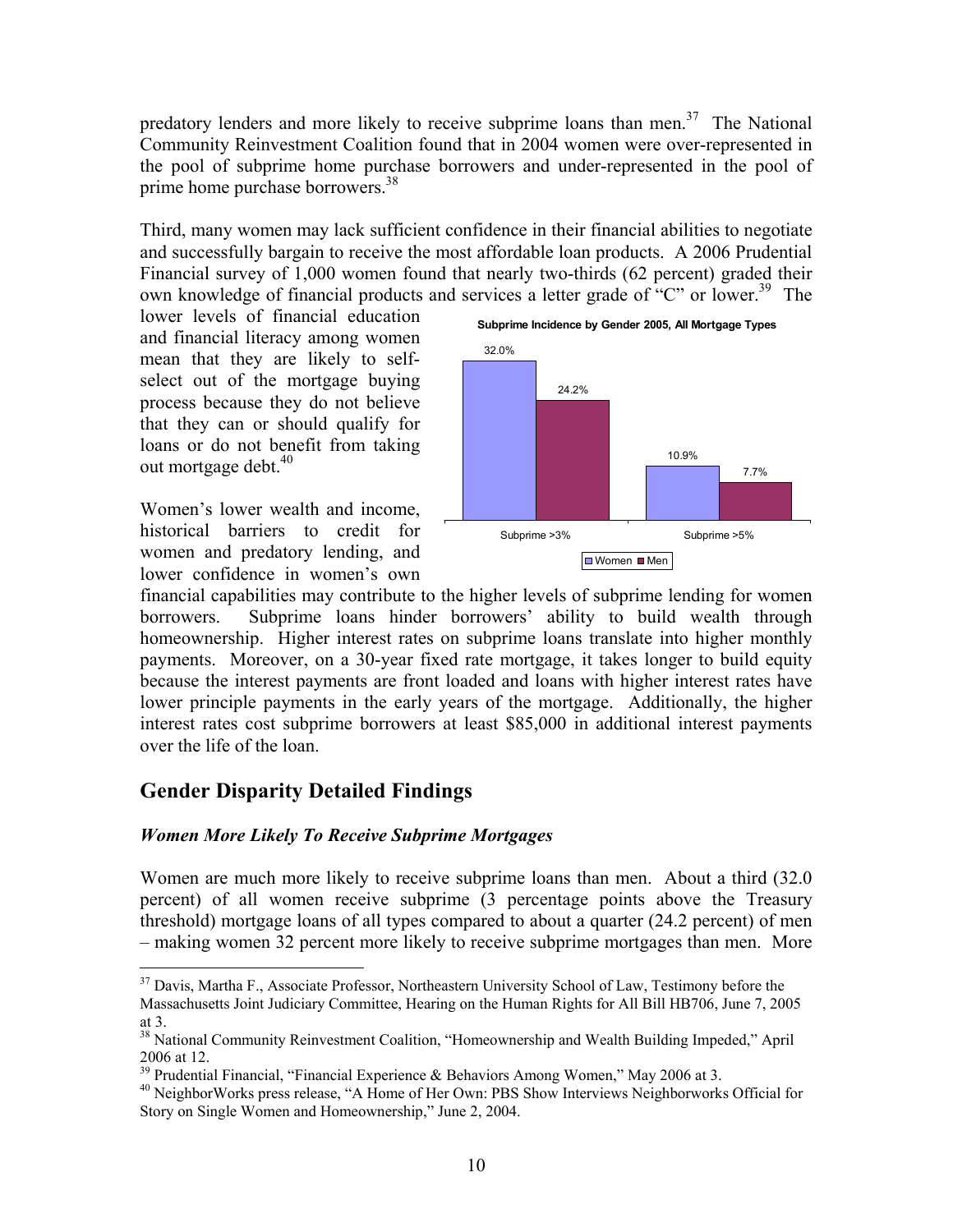predatory lenders and more likely to receive subprime loans than men.<sup>37</sup> The National Community Reinvestment Coalition found that in 2004 women were over-represented in the pool of subprime home purchase borrowers and under-represented in the pool of prime home purchase borrowers.<sup>38</sup>

Third, many women may lack sufficient confidence in their financial abilities to negotiate and successfully bargain to receive the most affordable loan products. A 2006 Prudential Financial survey of 1,000 women found that nearly two-thirds (62 percent) graded their own knowledge of financial products and services a letter grade of "C" or lower.<sup>39</sup> The

lower levels of financial education and financial literacy among women mean that they are likely to selfselect out of the mortgage buying process because they do not believe that they can or should qualify for loans or do not benefit from taking out mortgage debt.<sup>40</sup>

Women's lower wealth and income, historical barriers to credit for women and predatory lending, and lower confidence in women's own



financial capabilities may contribute to the higher levels of subprime lending for women borrowers. Subprime loans hinder borrowers' ability to build wealth through homeownership. Higher interest rates on subprime loans translate into higher monthly payments. Moreover, on a 30-year fixed rate mortgage, it takes longer to build equity because the interest payments are front loaded and loans with higher interest rates have lower principle payments in the early years of the mortgage. Additionally, the higher interest rates cost subprime borrowers at least \$85,000 in additional interest payments over the life of the loan.

# **Gender Disparity Detailed Findings**

1

# *Women More Likely To Receive Subprime Mortgages*

Women are much more likely to receive subprime loans than men. About a third (32.0 percent) of all women receive subprime (3 percentage points above the Treasury threshold) mortgage loans of all types compared to about a quarter (24.2 percent) of men – making women 32 percent more likely to receive subprime mortgages than men. More

<sup>&</sup>lt;sup>37</sup> Davis, Martha F., Associate Professor, Northeastern University School of Law, Testimony before the Massachusetts Joint Judiciary Committee, Hearing on the Human Rights for All Bill HB706, June 7, 2005 at 3.

<sup>&</sup>lt;sup>38</sup> National Community Reinvestment Coalition, "Homeownership and Wealth Building Impeded," April 2006 at 12.

 $\frac{39}{39}$  Prudential Financial, "Financial Experience & Behaviors Among Women," May 2006 at 3.

<sup>&</sup>lt;sup>40</sup> NeighborWorks press release, "A Home of Her Own: PBS Show Interviews Neighborworks Official for Story on Single Women and Homeownership," June 2, 2004.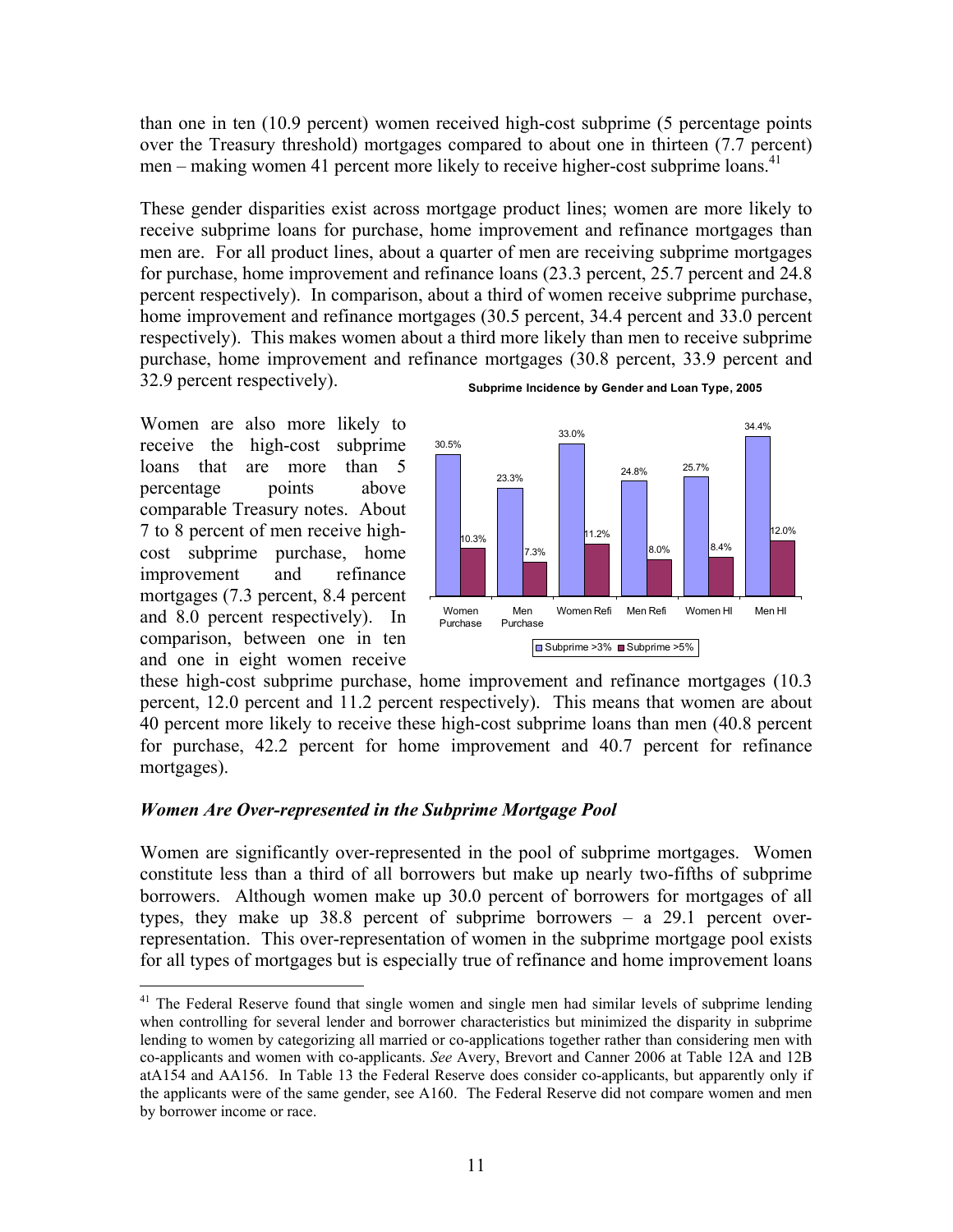than one in ten (10.9 percent) women received high-cost subprime (5 percentage points over the Treasury threshold) mortgages compared to about one in thirteen (7.7 percent) men – making women 41 percent more likely to receive higher-cost subprime loans.<sup>41</sup>

These gender disparities exist across mortgage product lines; women are more likely to receive subprime loans for purchase, home improvement and refinance mortgages than men are. For all product lines, about a quarter of men are receiving subprime mortgages for purchase, home improvement and refinance loans (23.3 percent, 25.7 percent and 24.8 percent respectively). In comparison, about a third of women receive subprime purchase, home improvement and refinance mortgages (30.5 percent, 34.4 percent and 33.0 percent respectively). This makes women about a third more likely than men to receive subprime purchase, home improvement and refinance mortgages (30.8 percent, 33.9 percent and 32.9 percent respectively).

Women are also more likely to receive the high-cost subprime loans that are more than 5 percentage points above comparable Treasury notes. About 7 to 8 percent of men receive highcost subprime purchase, home improvement and refinance mortgages (7.3 percent, 8.4 percent and 8.0 percent respectively). In comparison, between one in ten and one in eight women receive

<u>.</u>





these high-cost subprime purchase, home improvement and refinance mortgages (10.3 percent, 12.0 percent and 11.2 percent respectively). This means that women are about 40 percent more likely to receive these high-cost subprime loans than men (40.8 percent for purchase, 42.2 percent for home improvement and 40.7 percent for refinance mortgages).

# *Women Are Over-represented in the Subprime Mortgage Pool*

Women are significantly over-represented in the pool of subprime mortgages. Women constitute less than a third of all borrowers but make up nearly two-fifths of subprime borrowers. Although women make up 30.0 percent of borrowers for mortgages of all types, they make up 38.8 percent of subprime borrowers – a 29.1 percent overrepresentation. This over-representation of women in the subprime mortgage pool exists for all types of mortgages but is especially true of refinance and home improvement loans

 $41$  The Federal Reserve found that single women and single men had similar levels of subprime lending when controlling for several lender and borrower characteristics but minimized the disparity in subprime lending to women by categorizing all married or co-applications together rather than considering men with co-applicants and women with co-applicants. *See* Avery, Brevort and Canner 2006 at Table 12A and 12B atA154 and AA156. In Table 13 the Federal Reserve does consider co-applicants, but apparently only if the applicants were of the same gender, see A160. The Federal Reserve did not compare women and men by borrower income or race.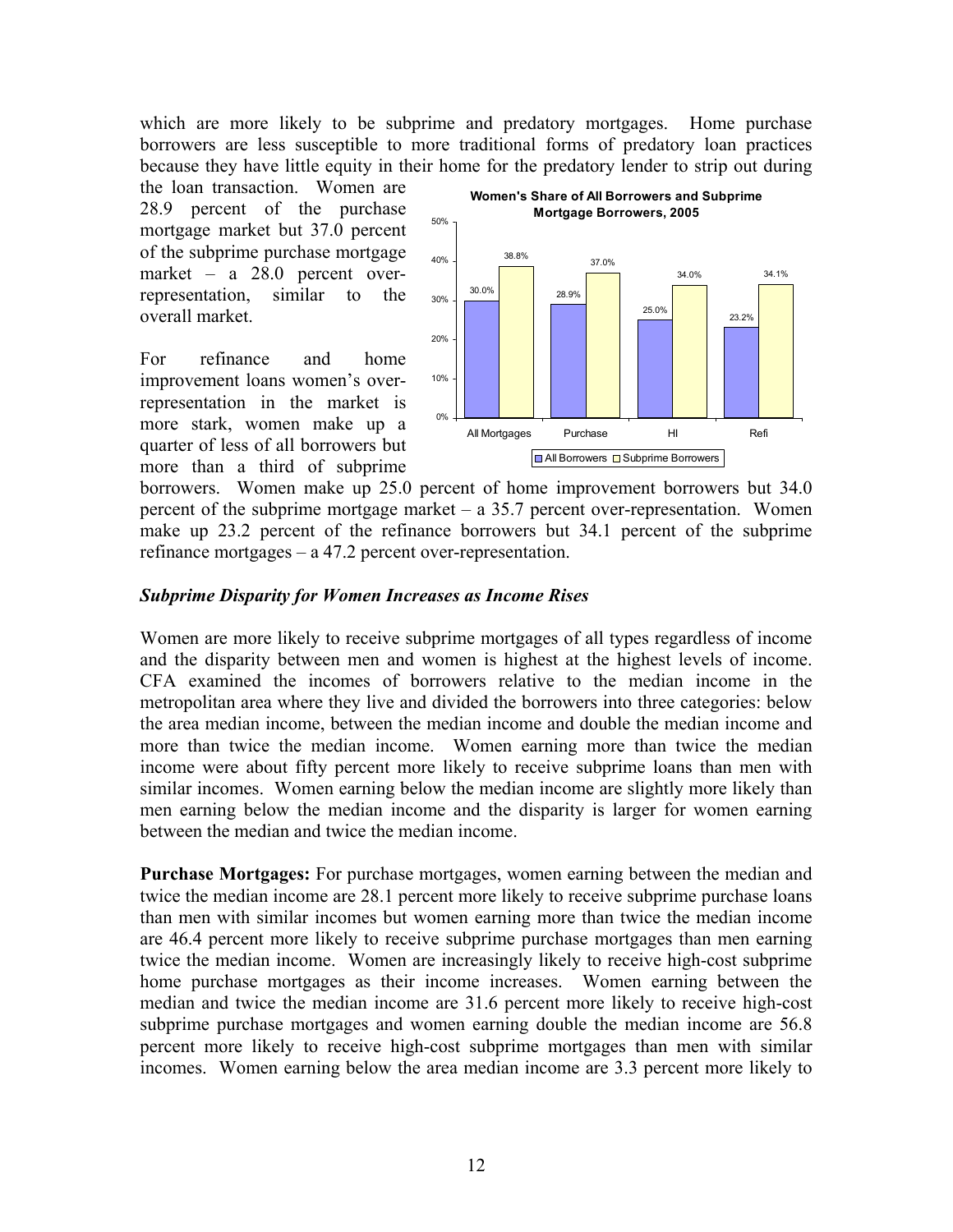which are more likely to be subprime and predatory mortgages. Home purchase borrowers are less susceptible to more traditional forms of predatory loan practices because they have little equity in their home for the predatory lender to strip out during

the loan transaction. Women are 28.9 percent of the purchase mortgage market but 37.0 percent of the subprime purchase mortgage market – a 28.0 percent overrepresentation, similar to the overall market.

For refinance and home improvement loans women's overrepresentation in the market is more stark, women make up a quarter of less of all borrowers but more than a third of subprime



borrowers. Women make up 25.0 percent of home improvement borrowers but 34.0 percent of the subprime mortgage market  $-$  a 35.7 percent over-representation. Women make up 23.2 percent of the refinance borrowers but 34.1 percent of the subprime refinance mortgages – a 47.2 percent over-representation.

# *Subprime Disparity for Women Increases as Income Rises*

Women are more likely to receive subprime mortgages of all types regardless of income and the disparity between men and women is highest at the highest levels of income. CFA examined the incomes of borrowers relative to the median income in the metropolitan area where they live and divided the borrowers into three categories: below the area median income, between the median income and double the median income and more than twice the median income. Women earning more than twice the median income were about fifty percent more likely to receive subprime loans than men with similar incomes. Women earning below the median income are slightly more likely than men earning below the median income and the disparity is larger for women earning between the median and twice the median income.

**Purchase Mortgages:** For purchase mortgages, women earning between the median and twice the median income are 28.1 percent more likely to receive subprime purchase loans than men with similar incomes but women earning more than twice the median income are 46.4 percent more likely to receive subprime purchase mortgages than men earning twice the median income. Women are increasingly likely to receive high-cost subprime home purchase mortgages as their income increases. Women earning between the median and twice the median income are 31.6 percent more likely to receive high-cost subprime purchase mortgages and women earning double the median income are 56.8 percent more likely to receive high-cost subprime mortgages than men with similar incomes. Women earning below the area median income are 3.3 percent more likely to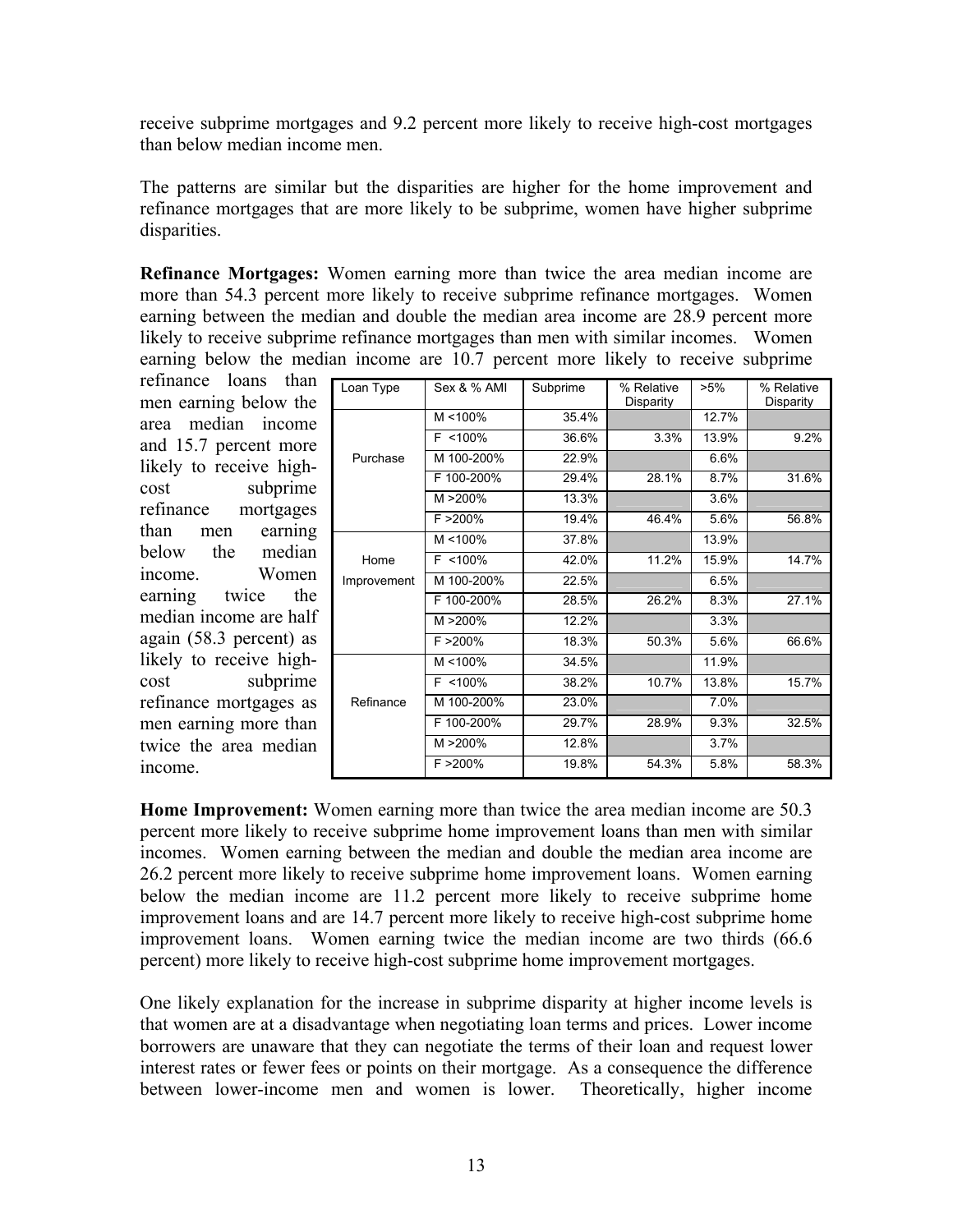receive subprime mortgages and 9.2 percent more likely to receive high-cost mortgages than below median income men.

The patterns are similar but the disparities are higher for the home improvement and refinance mortgages that are more likely to be subprime, women have higher subprime disparities.

**Refinance Mortgages:** Women earning more than twice the area median income are more than 54.3 percent more likely to receive subprime refinance mortgages. Women earning between the median and double the median area income are 28.9 percent more likely to receive subprime refinance mortgages than men with similar incomes. Women earning below the median income are 10.7 percent more likely to receive subprime

refinance loans than men earning below the area median income and 15.7 percent more likely to receive highcost subprime refinance mortgages than men earning below the median income. Women earning twice the median income are half again (58.3 percent) as likely to receive highcost subprime refinance mortgages as men earning more than twice the area median income.

| Loan Type   | Sex & % AMI | Subprime | % Relative<br>Disparity | $>5\%$ | % Relative<br>Disparity |
|-------------|-------------|----------|-------------------------|--------|-------------------------|
|             | $M < 100\%$ | 35.4%    |                         | 12.7%  |                         |
|             | $F$ <100%   | 36.6%    | 3.3%                    | 13.9%  | 9.2%                    |
| Purchase    | M 100-200%  | 22.9%    |                         | 6.6%   |                         |
|             | F 100-200%  | 29.4%    | 28.1%                   | 8.7%   | 31.6%                   |
|             | M >200%     | 13.3%    |                         | 3.6%   |                         |
|             | F > 200%    | 19.4%    | 46.4%                   | 5.6%   | 56.8%                   |
|             | $M < 100\%$ | 37.8%    |                         | 13.9%  |                         |
| Home        | $F$ <100%   | 42.0%    | 11.2%                   | 15.9%  | 14.7%                   |
| Improvement | M 100-200%  | 22.5%    |                         | 6.5%   |                         |
|             | F 100-200%  | 28.5%    | 26.2%                   | 8.3%   | 27.1%                   |
|             | M >200%     | 12.2%    |                         | 3.3%   |                         |
|             | $F > 200\%$ | 18.3%    | 50.3%                   | 5.6%   | 66.6%                   |
|             | $M < 100\%$ | 34.5%    |                         | 11.9%  |                         |
|             | $F$ <100%   | 38.2%    | 10.7%                   | 13.8%  | 15.7%                   |
| Refinance   | M 100-200%  | 23.0%    |                         | 7.0%   |                         |
|             | F 100-200%  | 29.7%    | 28.9%                   | 9.3%   | 32.5%                   |
|             | M >200%     | 12.8%    |                         | 3.7%   |                         |
|             | F > 200%    | 19.8%    | 54.3%                   | 5.8%   | 58.3%                   |

**Home Improvement:** Women earning more than twice the area median income are 50.3 percent more likely to receive subprime home improvement loans than men with similar incomes. Women earning between the median and double the median area income are 26.2 percent more likely to receive subprime home improvement loans. Women earning below the median income are 11.2 percent more likely to receive subprime home improvement loans and are 14.7 percent more likely to receive high-cost subprime home improvement loans. Women earning twice the median income are two thirds (66.6 percent) more likely to receive high-cost subprime home improvement mortgages.

One likely explanation for the increase in subprime disparity at higher income levels is that women are at a disadvantage when negotiating loan terms and prices. Lower income borrowers are unaware that they can negotiate the terms of their loan and request lower interest rates or fewer fees or points on their mortgage. As a consequence the difference between lower-income men and women is lower. Theoretically, higher income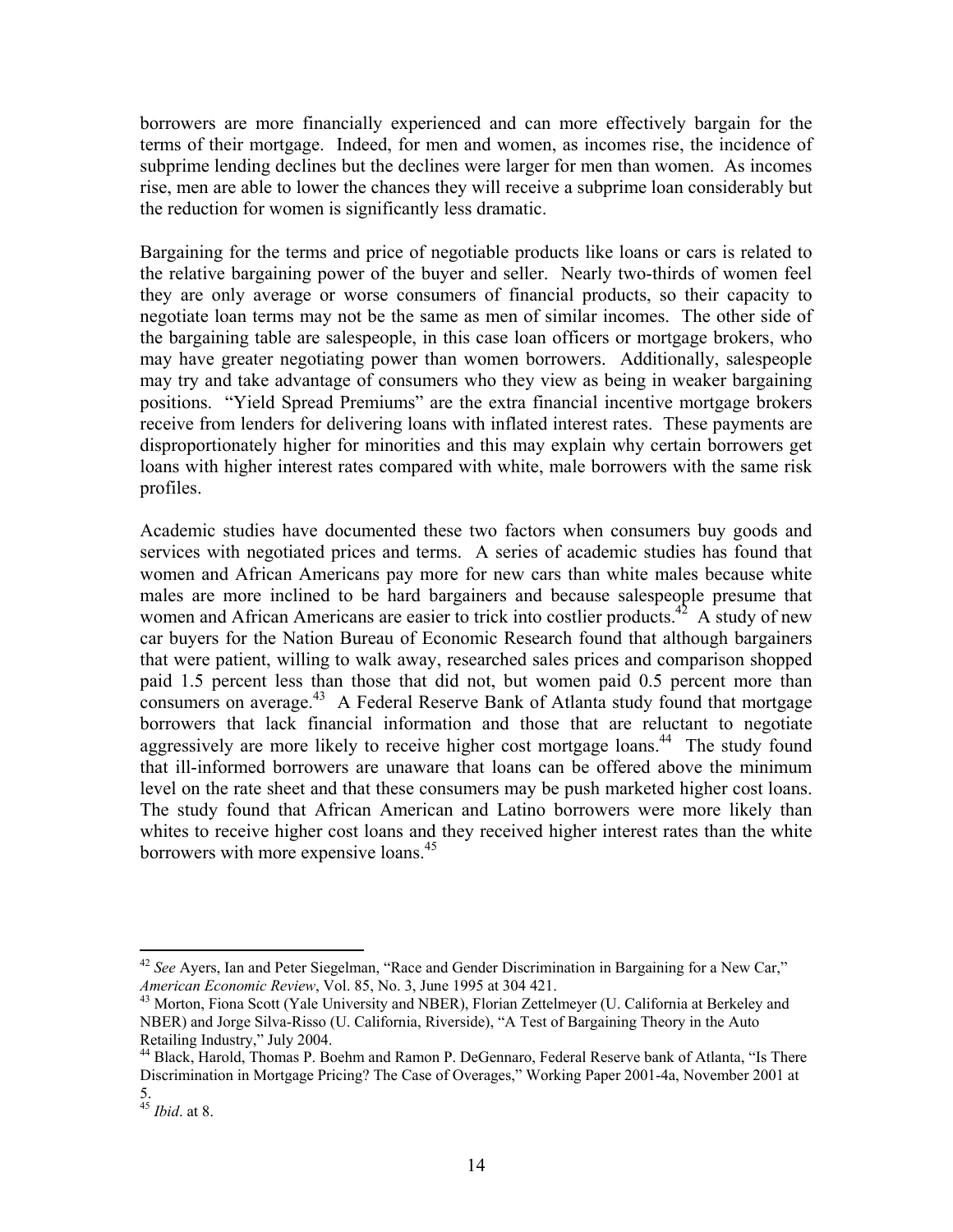borrowers are more financially experienced and can more effectively bargain for the terms of their mortgage. Indeed, for men and women, as incomes rise, the incidence of subprime lending declines but the declines were larger for men than women. As incomes rise, men are able to lower the chances they will receive a subprime loan considerably but the reduction for women is significantly less dramatic.

Bargaining for the terms and price of negotiable products like loans or cars is related to the relative bargaining power of the buyer and seller. Nearly two-thirds of women feel they are only average or worse consumers of financial products, so their capacity to negotiate loan terms may not be the same as men of similar incomes. The other side of the bargaining table are salespeople, in this case loan officers or mortgage brokers, who may have greater negotiating power than women borrowers. Additionally, salespeople may try and take advantage of consumers who they view as being in weaker bargaining positions. "Yield Spread Premiums" are the extra financial incentive mortgage brokers receive from lenders for delivering loans with inflated interest rates. These payments are disproportionately higher for minorities and this may explain why certain borrowers get loans with higher interest rates compared with white, male borrowers with the same risk profiles.

Academic studies have documented these two factors when consumers buy goods and services with negotiated prices and terms. A series of academic studies has found that women and African Americans pay more for new cars than white males because white males are more inclined to be hard bargainers and because salespeople presume that women and African Americans are easier to trick into costlier products.<sup>42</sup> A study of new car buyers for the Nation Bureau of Economic Research found that although bargainers that were patient, willing to walk away, researched sales prices and comparison shopped paid 1.5 percent less than those that did not, but women paid 0.5 percent more than consumers on average.<sup>43</sup> A Federal Reserve Bank of Atlanta study found that mortgage borrowers that lack financial information and those that are reluctant to negotiate aggressively are more likely to receive higher cost mortgage loans.<sup>44</sup> The study found that ill-informed borrowers are unaware that loans can be offered above the minimum level on the rate sheet and that these consumers may be push marketed higher cost loans. The study found that African American and Latino borrowers were more likely than whites to receive higher cost loans and they received higher interest rates than the white borrowers with more expensive loans.<sup>45</sup>

1

<sup>&</sup>lt;sup>42</sup> *See* Ayers, Ian and Peter Siegelman, "Race and Gender Discrimination in Bargaining for a New Car," *American Economic Review*, Vol. 85, No. 3, June 1995 at 304 421.

<sup>&</sup>lt;sup>43</sup> Morton, Fiona Scott (Yale University and NBER), Florian Zettelmeyer (U. California at Berkeley and NBER) and Jorge Silva-Risso (U. California, Riverside), "A Test of Bargaining Theory in the Auto Retailing Industry," July 2004.

<sup>44</sup> Black, Harold, Thomas P. Boehm and Ramon P. DeGennaro, Federal Reserve bank of Atlanta, "Is There Discrimination in Mortgage Pricing? The Case of Overages," Working Paper 2001-4a, November 2001 at 5.

<sup>45</sup> *Ibid*. at 8.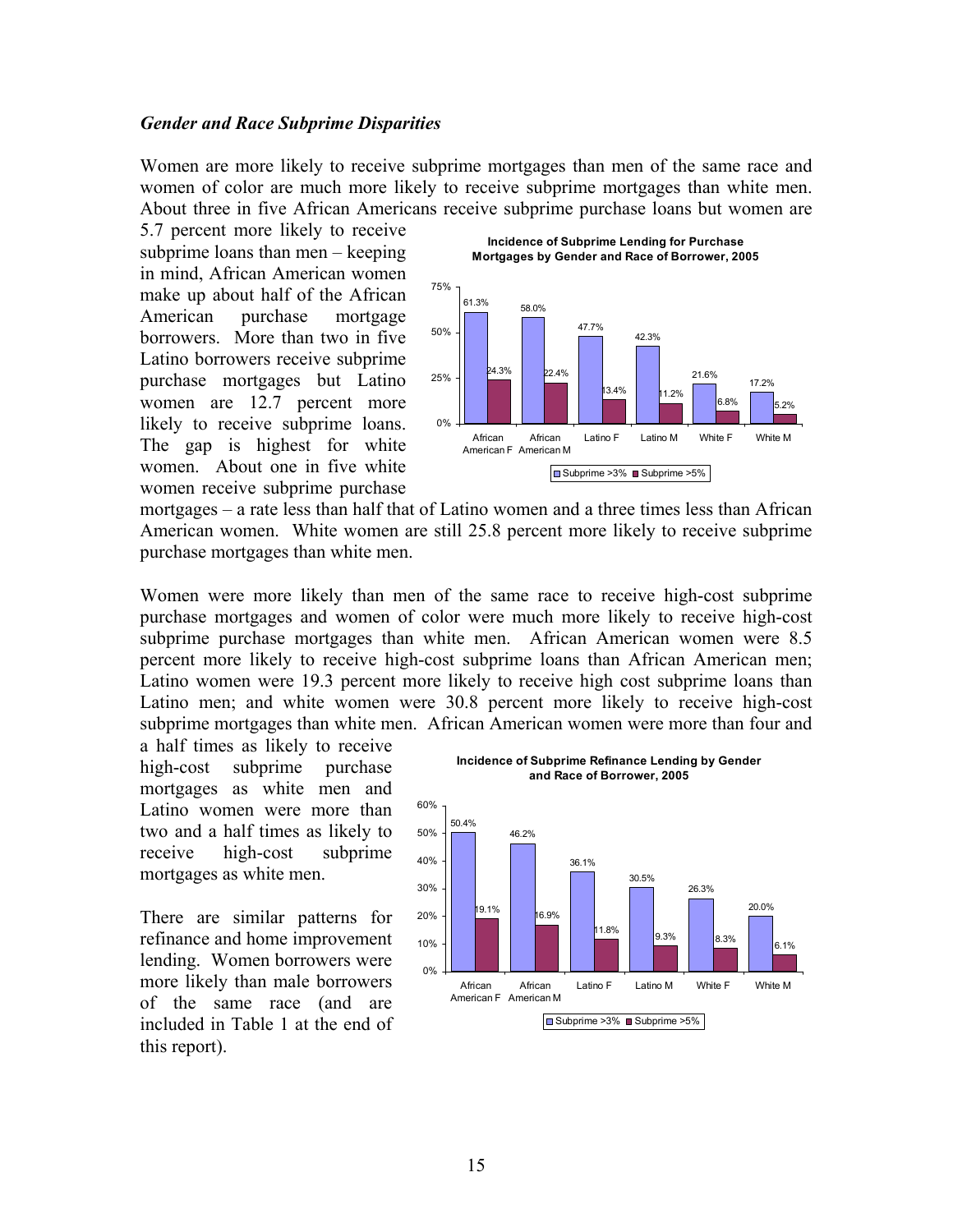#### *Gender and Race Subprime Disparities*

Women are more likely to receive subprime mortgages than men of the same race and women of color are much more likely to receive subprime mortgages than white men. About three in five African Americans receive subprime purchase loans but women are

5.7 percent more likely to receive subprime loans than men – keeping in mind, African American women make up about half of the African American purchase mortgage borrowers. More than two in five Latino borrowers receive subprime purchase mortgages but Latino women are 12.7 percent more likely to receive subprime loans. The gap is highest for white women. About one in five white women receive subprime purchase



mortgages – a rate less than half that of Latino women and a three times less than African American women. White women are still 25.8 percent more likely to receive subprime purchase mortgages than white men.

Women were more likely than men of the same race to receive high-cost subprime purchase mortgages and women of color were much more likely to receive high-cost subprime purchase mortgages than white men. African American women were 8.5 percent more likely to receive high-cost subprime loans than African American men; Latino women were 19.3 percent more likely to receive high cost subprime loans than Latino men; and white women were 30.8 percent more likely to receive high-cost subprime mortgages than white men. African American women were more than four and

a half times as likely to receive high-cost subprime purchase mortgages as white men and Latino women were more than two and a half times as likely to receive high-cost subprime mortgages as white men.

There are similar patterns for refinance and home improvement lending. Women borrowers were more likely than male borrowers of the same race (and are included in Table 1 at the end of this report).

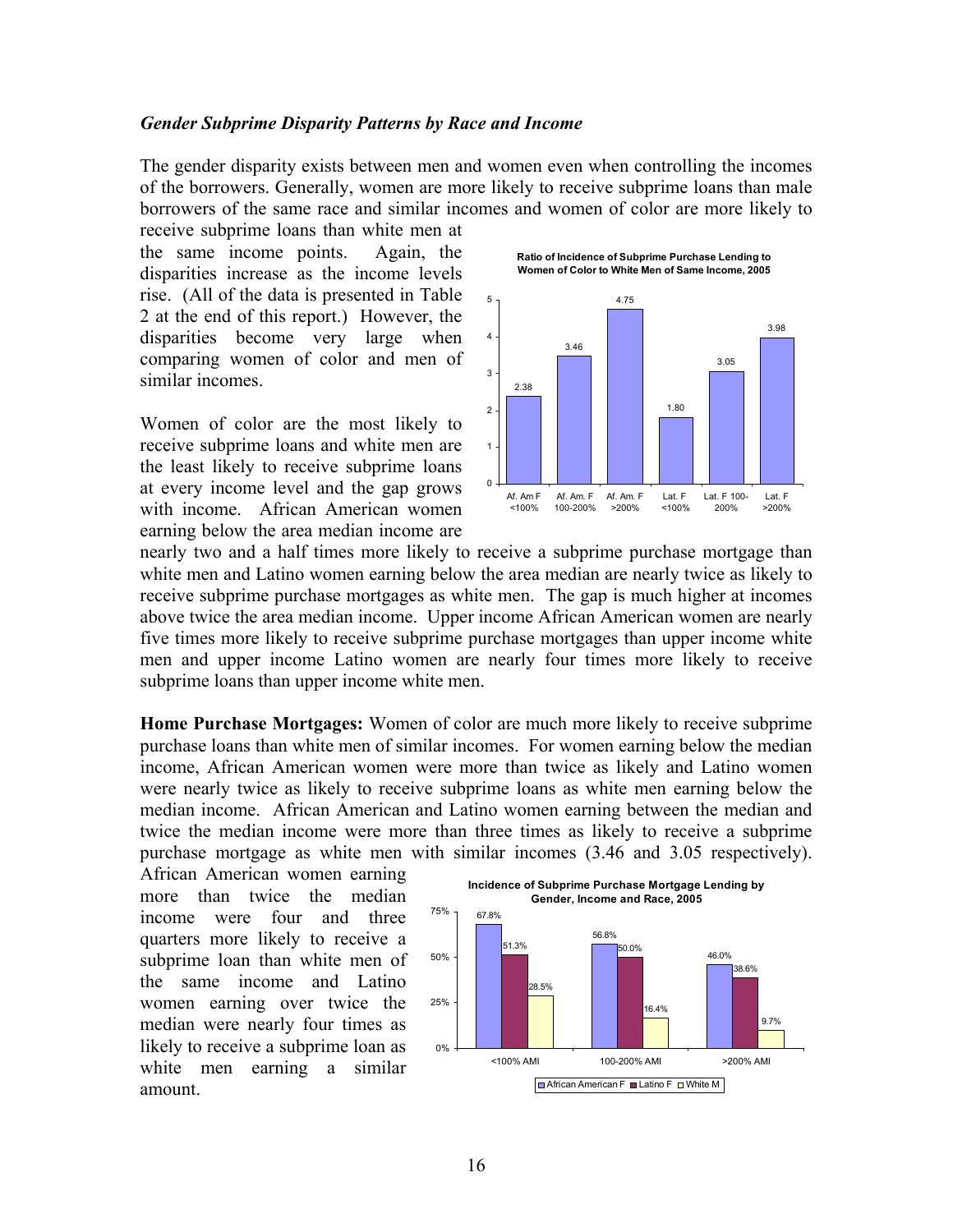#### *Gender Subprime Disparity Patterns by Race and Income*

The gender disparity exists between men and women even when controlling the incomes of the borrowers. Generally, women are more likely to receive subprime loans than male borrowers of the same race and similar incomes and women of color are more likely to

receive subprime loans than white men at the same income points. Again, the disparities increase as the income levels rise. (All of the data is presented in Table 2 at the end of this report.) However, the disparities become very large when comparing women of color and men of similar incomes.

Women of color are the most likely to receive subprime loans and white men are the least likely to receive subprime loans at every income level and the gap grows with income. African American women earning below the area median income are



**Ratio of Incidence of Subprime Purchase Lending to** 

nearly two and a half times more likely to receive a subprime purchase mortgage than white men and Latino women earning below the area median are nearly twice as likely to receive subprime purchase mortgages as white men. The gap is much higher at incomes above twice the area median income. Upper income African American women are nearly five times more likely to receive subprime purchase mortgages than upper income white men and upper income Latino women are nearly four times more likely to receive subprime loans than upper income white men.

**Home Purchase Mortgages:** Women of color are much more likely to receive subprime purchase loans than white men of similar incomes. For women earning below the median income, African American women were more than twice as likely and Latino women were nearly twice as likely to receive subprime loans as white men earning below the median income. African American and Latino women earning between the median and twice the median income were more than three times as likely to receive a subprime purchase mortgage as white men with similar incomes (3.46 and 3.05 respectively).

African American women earning more than twice the median income were four and three quarters more likely to receive a subprime loan than white men of the same income and Latino women earning over twice the median were nearly four times as likely to receive a subprime loan as white men earning a similar amount.

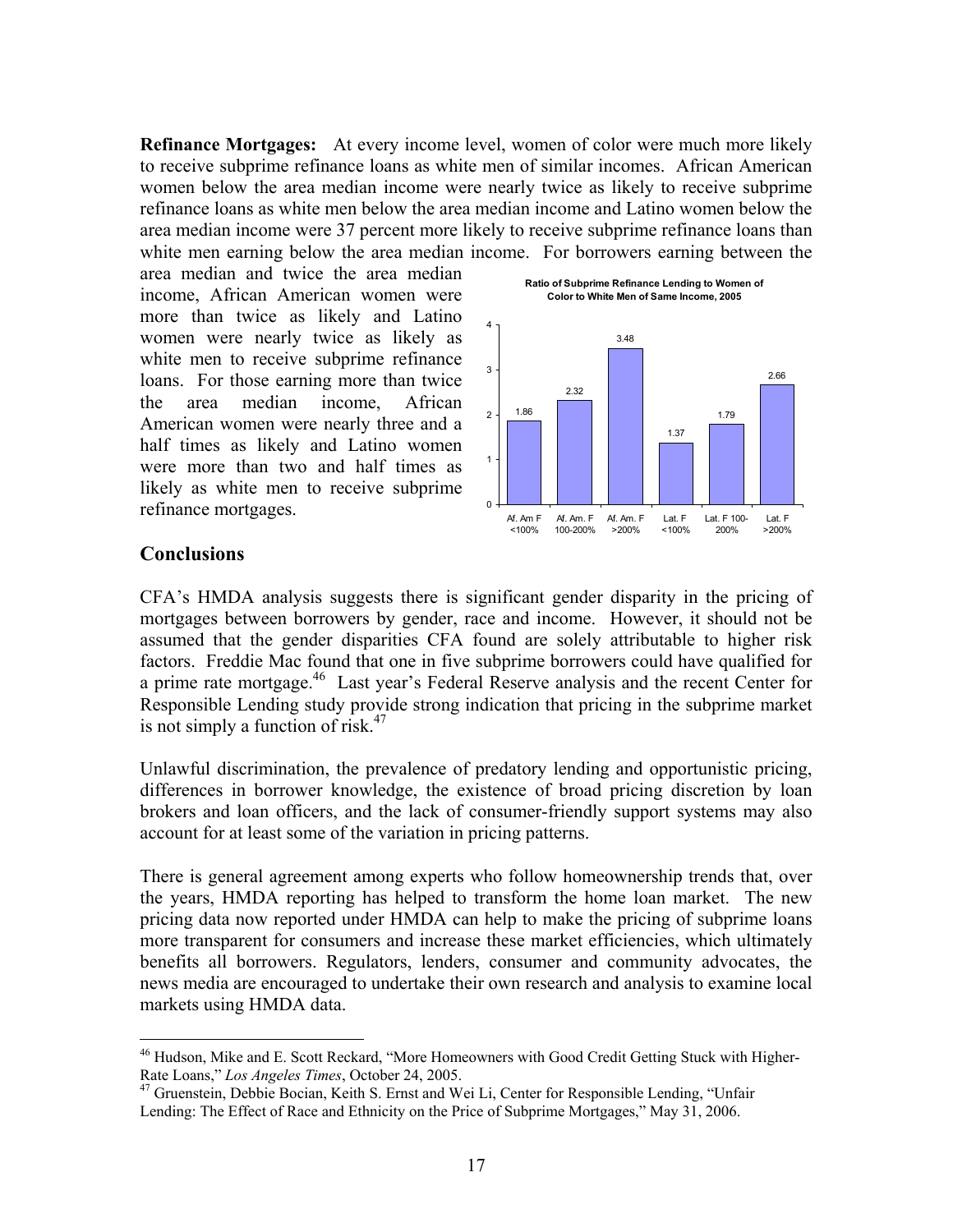**Refinance Mortgages:** At every income level, women of color were much more likely to receive subprime refinance loans as white men of similar incomes. African American women below the area median income were nearly twice as likely to receive subprime refinance loans as white men below the area median income and Latino women below the area median income were 37 percent more likely to receive subprime refinance loans than white men earning below the area median income. For borrowers earning between the

area median and twice the area median income, African American women were more than twice as likely and Latino women were nearly twice as likely as white men to receive subprime refinance loans. For those earning more than twice the area median income, African American women were nearly three and a half times as likely and Latino women were more than two and half times as likely as white men to receive subprime refinance mortgages.



# **Conclusions**

<u>.</u>

CFA's HMDA analysis suggests there is significant gender disparity in the pricing of mortgages between borrowers by gender, race and income. However, it should not be assumed that the gender disparities CFA found are solely attributable to higher risk factors. Freddie Mac found that one in five subprime borrowers could have qualified for a prime rate mortgage.46 Last year's Federal Reserve analysis and the recent Center for Responsible Lending study provide strong indication that pricing in the subprime market is not simply a function of risk. $47$ 

Unlawful discrimination, the prevalence of predatory lending and opportunistic pricing, differences in borrower knowledge, the existence of broad pricing discretion by loan brokers and loan officers, and the lack of consumer-friendly support systems may also account for at least some of the variation in pricing patterns.

There is general agreement among experts who follow homeownership trends that, over the years, HMDA reporting has helped to transform the home loan market. The new pricing data now reported under HMDA can help to make the pricing of subprime loans more transparent for consumers and increase these market efficiencies, which ultimately benefits all borrowers. Regulators, lenders, consumer and community advocates, the news media are encouraged to undertake their own research and analysis to examine local markets using HMDA data.

<sup>&</sup>lt;sup>46</sup> Hudson, Mike and E. Scott Reckard, "More Homeowners with Good Credit Getting Stuck with Higher-Rate Loans," Los Angeles Times, October 24, 2005.

<sup>&</sup>lt;sup>47</sup> Gruenstein, Debbie Bocian, Keith S. Ernst and Wei Li, Center for Responsible Lending, "Unfair Lending: The Effect of Race and Ethnicity on the Price of Subprime Mortgages," May 31, 2006.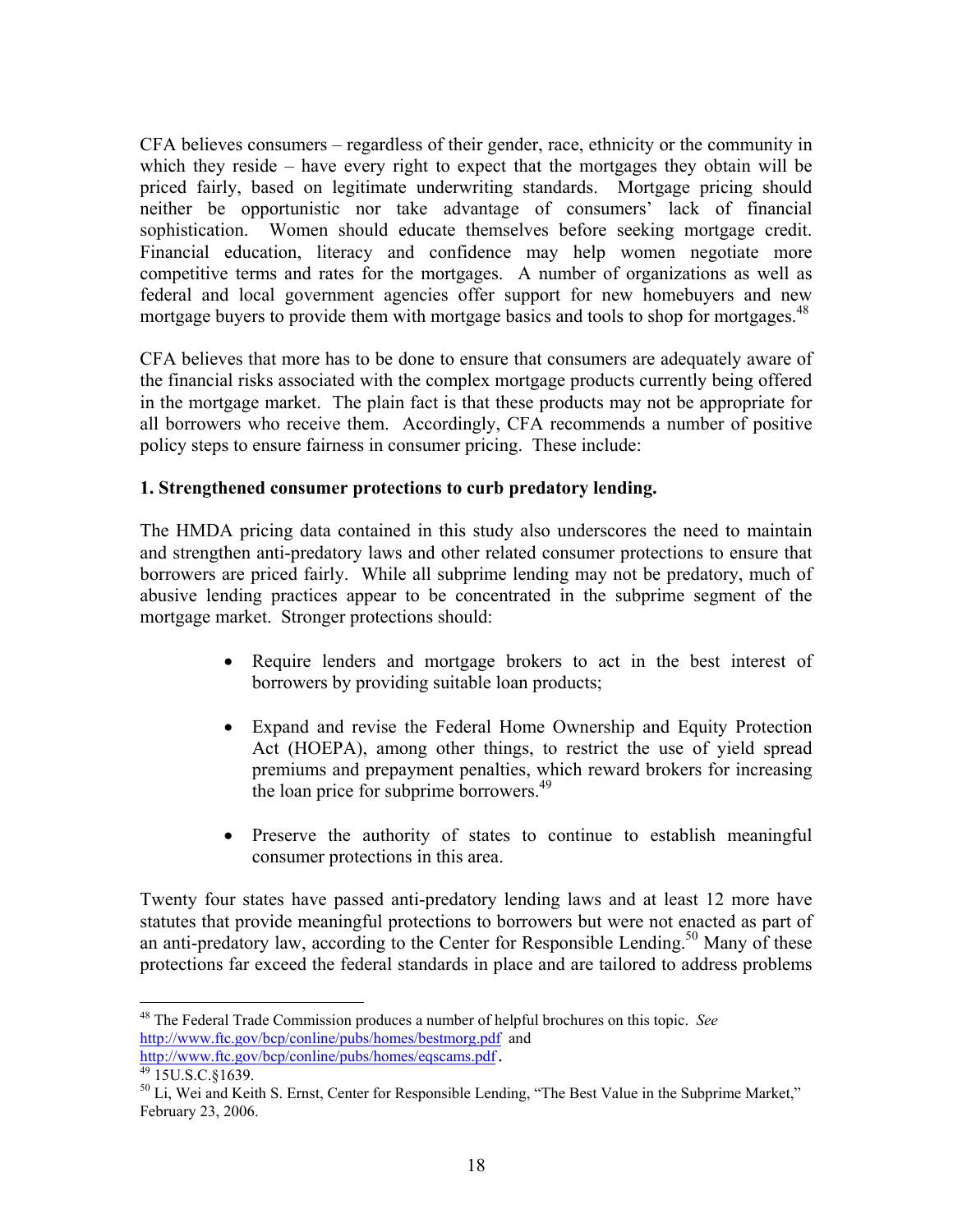CFA believes consumers – regardless of their gender, race, ethnicity or the community in which they reside – have every right to expect that the mortgages they obtain will be priced fairly, based on legitimate underwriting standards. Mortgage pricing should neither be opportunistic nor take advantage of consumers' lack of financial sophistication. Women should educate themselves before seeking mortgage credit. Financial education, literacy and confidence may help women negotiate more competitive terms and rates for the mortgages. A number of organizations as well as federal and local government agencies offer support for new homebuyers and new mortgage buyers to provide them with mortgage basics and tools to shop for mortgages.<sup>48</sup>

CFA believes that more has to be done to ensure that consumers are adequately aware of the financial risks associated with the complex mortgage products currently being offered in the mortgage market. The plain fact is that these products may not be appropriate for all borrowers who receive them. Accordingly, CFA recommends a number of positive policy steps to ensure fairness in consumer pricing. These include:

# **1. Strengthened consumer protections to curb predatory lending.**

The HMDA pricing data contained in this study also underscores the need to maintain and strengthen anti-predatory laws and other related consumer protections to ensure that borrowers are priced fairly. While all subprime lending may not be predatory, much of abusive lending practices appear to be concentrated in the subprime segment of the mortgage market. Stronger protections should:

- Require lenders and mortgage brokers to act in the best interest of borrowers by providing suitable loan products;
- Expand and revise the Federal Home Ownership and Equity Protection Act (HOEPA), among other things, to restrict the use of yield spread premiums and prepayment penalties, which reward brokers for increasing the loan price for subprime borrowers.<sup>49</sup>
- Preserve the authority of states to continue to establish meaningful consumer protections in this area.

Twenty four states have passed anti-predatory lending laws and at least 12 more have statutes that provide meaningful protections to borrowers but were not enacted as part of an anti-predatory law, according to the Center for Responsible Lending.<sup>50</sup> Many of these protections far exceed the federal standards in place and are tailored to address problems

 $\overline{a}$ 48 The Federal Trade Commission produces a number of helpful brochures on this topic. *See* http://www.ftc.gov/bcp/conline/pubs/homes/bestmorg.pdf and

http://www.ftc.gov/bcp/conline/pubs/homes/eqscams.pdf.<br><sup>49</sup> 15U.S.C.§1639.

<sup>&</sup>lt;sup>50</sup> Li, Wei and Keith S. Ernst, Center for Responsible Lending, "The Best Value in the Subprime Market," February 23, 2006.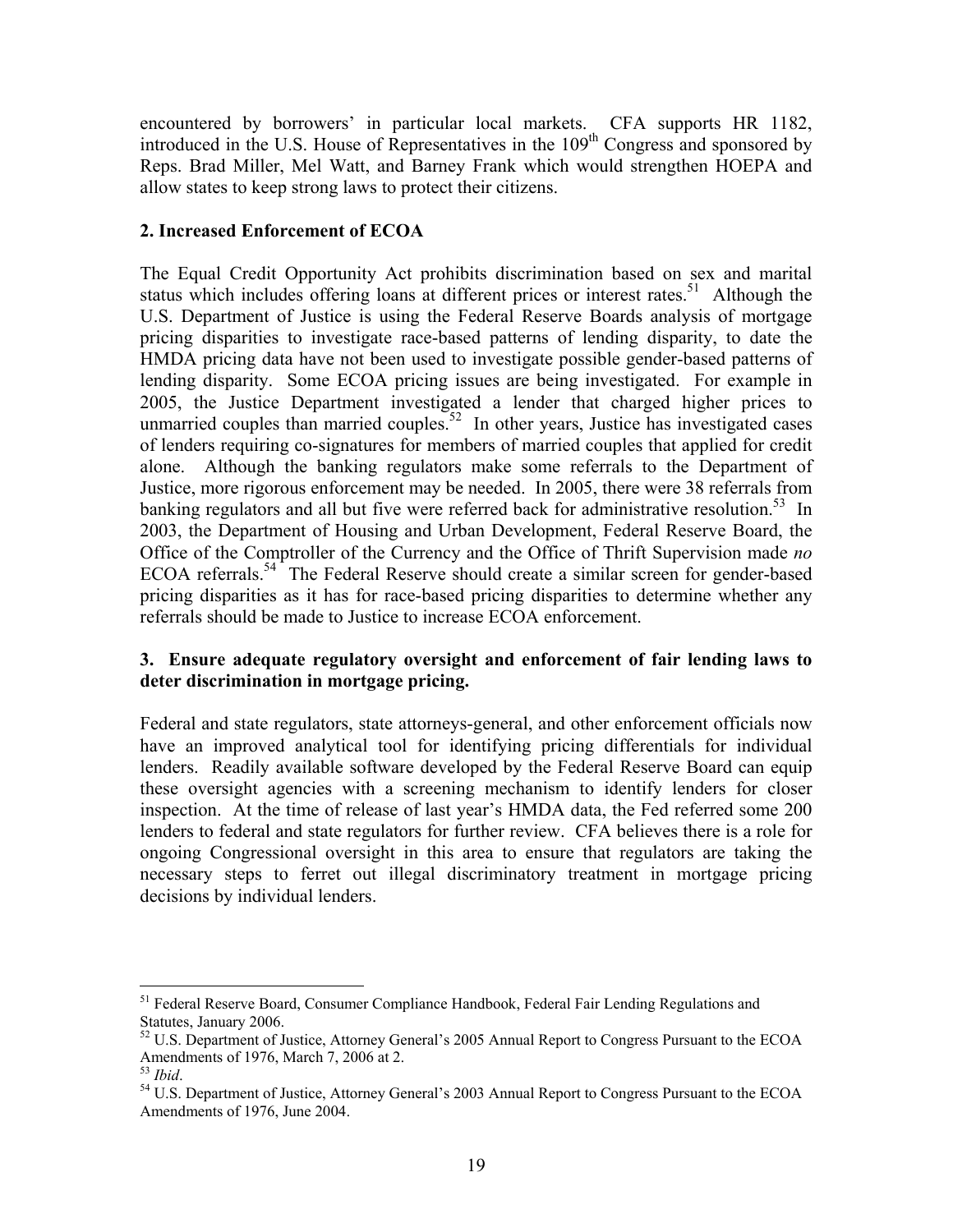encountered by borrowers' in particular local markets. CFA supports HR 1182, introduced in the U.S. House of Representatives in the 109<sup>th</sup> Congress and sponsored by Reps. Brad Miller, Mel Watt, and Barney Frank which would strengthen HOEPA and allow states to keep strong laws to protect their citizens.

# **2. Increased Enforcement of ECOA**

The Equal Credit Opportunity Act prohibits discrimination based on sex and marital status which includes offering loans at different prices or interest rates.<sup>51</sup> Although the U.S. Department of Justice is using the Federal Reserve Boards analysis of mortgage pricing disparities to investigate race-based patterns of lending disparity, to date the HMDA pricing data have not been used to investigate possible gender-based patterns of lending disparity. Some ECOA pricing issues are being investigated. For example in 2005, the Justice Department investigated a lender that charged higher prices to unmarried couples than married couples.<sup>52</sup> In other years, Justice has investigated cases of lenders requiring co-signatures for members of married couples that applied for credit alone. Although the banking regulators make some referrals to the Department of Justice, more rigorous enforcement may be needed. In 2005, there were 38 referrals from banking regulators and all but five were referred back for administrative resolution.<sup>53</sup> In 2003, the Department of Housing and Urban Development, Federal Reserve Board, the Office of the Comptroller of the Currency and the Office of Thrift Supervision made *no*  ECOA referrals.<sup>54</sup> The Federal Reserve should create a similar screen for gender-based pricing disparities as it has for race-based pricing disparities to determine whether any referrals should be made to Justice to increase ECOA enforcement.

# **3. Ensure adequate regulatory oversight and enforcement of fair lending laws to deter discrimination in mortgage pricing.**

Federal and state regulators, state attorneys-general, and other enforcement officials now have an improved analytical tool for identifying pricing differentials for individual lenders. Readily available software developed by the Federal Reserve Board can equip these oversight agencies with a screening mechanism to identify lenders for closer inspection. At the time of release of last year's HMDA data, the Fed referred some 200 lenders to federal and state regulators for further review. CFA believes there is a role for ongoing Congressional oversight in this area to ensure that regulators are taking the necessary steps to ferret out illegal discriminatory treatment in mortgage pricing decisions by individual lenders.

 $\overline{a}$ 

<sup>&</sup>lt;sup>51</sup> Federal Reserve Board, Consumer Compliance Handbook, Federal Fair Lending Regulations and Statutes, January 2006.

<sup>52</sup> U.S. Department of Justice, Attorney General's 2005 Annual Report to Congress Pursuant to the ECOA Amendments of 1976, March 7, 2006 at 2.<br>
<sup>53</sup> *Ibid.* 

<sup>&</sup>lt;sup>54</sup> U.S. Department of Justice, Attorney General's 2003 Annual Report to Congress Pursuant to the ECOA Amendments of 1976, June 2004.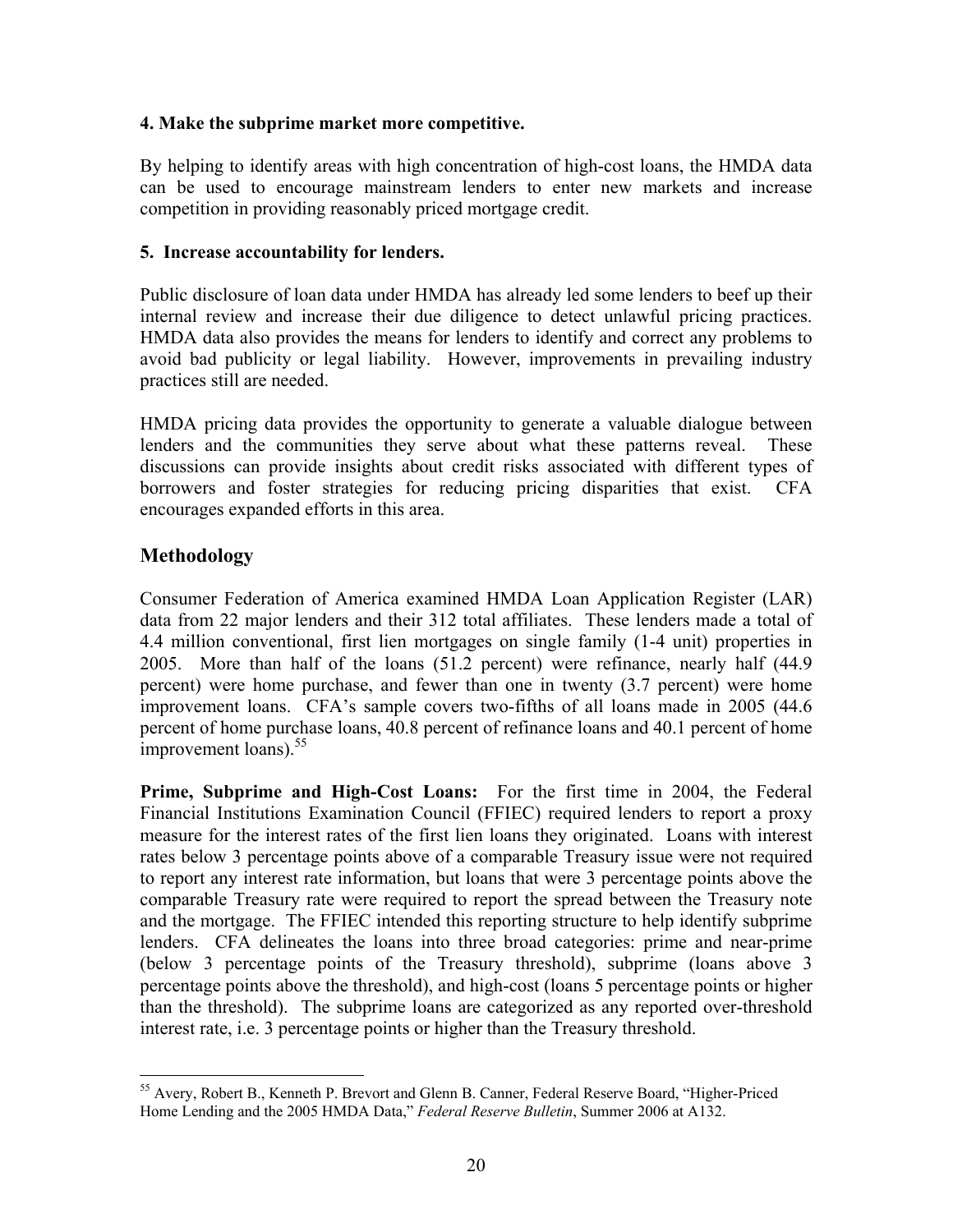# **4. Make the subprime market more competitive.**

By helping to identify areas with high concentration of high-cost loans, the HMDA data can be used to encourage mainstream lenders to enter new markets and increase competition in providing reasonably priced mortgage credit.

# **5. Increase accountability for lenders.**

Public disclosure of loan data under HMDA has already led some lenders to beef up their internal review and increase their due diligence to detect unlawful pricing practices. HMDA data also provides the means for lenders to identify and correct any problems to avoid bad publicity or legal liability. However, improvements in prevailing industry practices still are needed.

HMDA pricing data provides the opportunity to generate a valuable dialogue between lenders and the communities they serve about what these patterns reveal. These discussions can provide insights about credit risks associated with different types of borrowers and foster strategies for reducing pricing disparities that exist. CFA encourages expanded efforts in this area.

# **Methodology**

 $\overline{a}$ 

Consumer Federation of America examined HMDA Loan Application Register (LAR) data from 22 major lenders and their 312 total affiliates. These lenders made a total of 4.4 million conventional, first lien mortgages on single family (1-4 unit) properties in 2005. More than half of the loans (51.2 percent) were refinance, nearly half (44.9 percent) were home purchase, and fewer than one in twenty (3.7 percent) were home improvement loans. CFA's sample covers two-fifths of all loans made in 2005 (44.6 percent of home purchase loans, 40.8 percent of refinance loans and 40.1 percent of home improvement loans). $55$ 

**Prime, Subprime and High-Cost Loans:** For the first time in 2004, the Federal Financial Institutions Examination Council (FFIEC) required lenders to report a proxy measure for the interest rates of the first lien loans they originated. Loans with interest rates below 3 percentage points above of a comparable Treasury issue were not required to report any interest rate information, but loans that were 3 percentage points above the comparable Treasury rate were required to report the spread between the Treasury note and the mortgage. The FFIEC intended this reporting structure to help identify subprime lenders. CFA delineates the loans into three broad categories: prime and near-prime (below 3 percentage points of the Treasury threshold), subprime (loans above 3 percentage points above the threshold), and high-cost (loans 5 percentage points or higher than the threshold). The subprime loans are categorized as any reported over-threshold interest rate, i.e. 3 percentage points or higher than the Treasury threshold.

<sup>&</sup>lt;sup>55</sup> Avery, Robert B., Kenneth P. Brevort and Glenn B. Canner, Federal Reserve Board, "Higher-Priced Home Lending and the 2005 HMDA Data," *Federal Reserve Bulletin*, Summer 2006 at A132.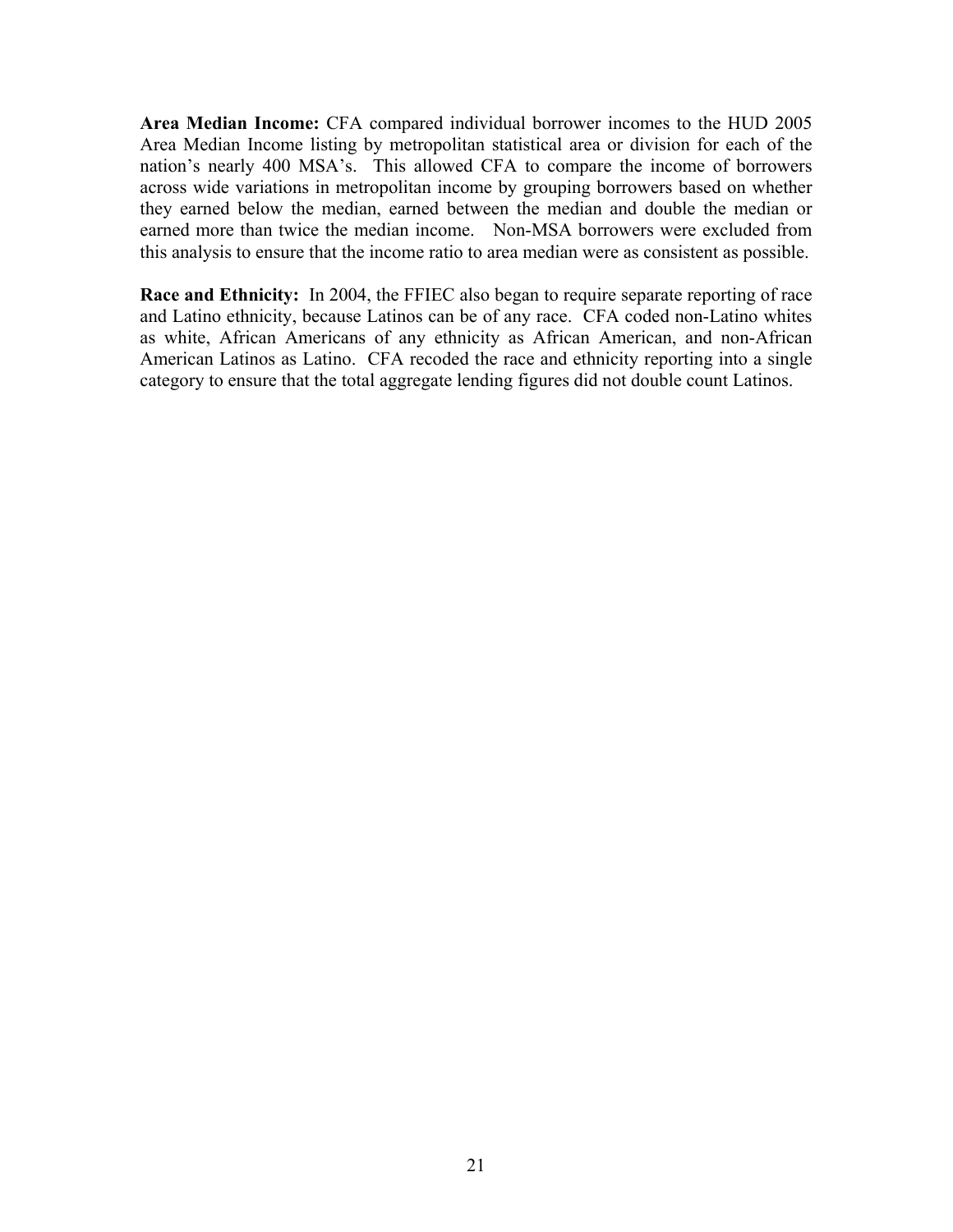**Area Median Income:** CFA compared individual borrower incomes to the HUD 2005 Area Median Income listing by metropolitan statistical area or division for each of the nation's nearly 400 MSA's. This allowed CFA to compare the income of borrowers across wide variations in metropolitan income by grouping borrowers based on whether they earned below the median, earned between the median and double the median or earned more than twice the median income. Non-MSA borrowers were excluded from this analysis to ensure that the income ratio to area median were as consistent as possible.

**Race and Ethnicity:** In 2004, the FFIEC also began to require separate reporting of race and Latino ethnicity, because Latinos can be of any race. CFA coded non-Latino whites as white, African Americans of any ethnicity as African American, and non-African American Latinos as Latino. CFA recoded the race and ethnicity reporting into a single category to ensure that the total aggregate lending figures did not double count Latinos.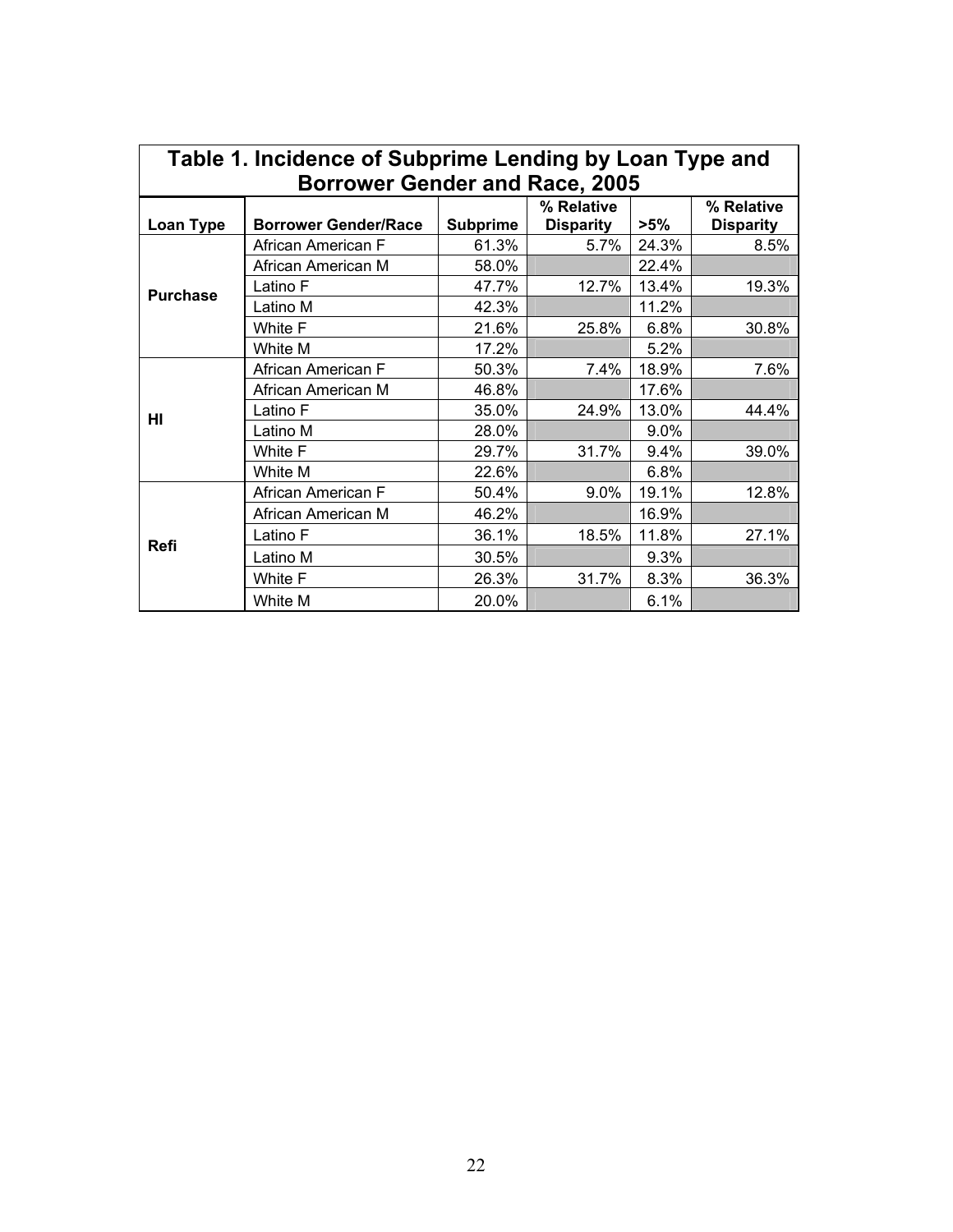| Table 1. Incidence of Subprime Lending by Loan Type and |                             |                 |                  |        |                  |  |  |
|---------------------------------------------------------|-----------------------------|-----------------|------------------|--------|------------------|--|--|
| <b>Borrower Gender and Race, 2005</b>                   |                             |                 |                  |        |                  |  |  |
|                                                         |                             |                 | % Relative       |        | % Relative       |  |  |
| Loan Type                                               | <b>Borrower Gender/Race</b> | <b>Subprime</b> | <b>Disparity</b> | $>5\%$ | <b>Disparity</b> |  |  |
|                                                         | African American F          | 61.3%           | 5.7%             | 24.3%  | 8.5%             |  |  |
|                                                         | African American M          | 58.0%           |                  | 22.4%  |                  |  |  |
| <b>Purchase</b>                                         | Latino F                    | 47.7%           | 12.7%            | 13.4%  | 19.3%            |  |  |
|                                                         | Latino M                    | 42.3%           |                  | 11.2%  |                  |  |  |
|                                                         | White F                     | 21.6%           | 25.8%            | 6.8%   | 30.8%            |  |  |
|                                                         | White M                     | 17.2%           |                  | 5.2%   |                  |  |  |
|                                                         | African American F          | 50.3%           | 7.4%             | 18.9%  | 7.6%             |  |  |
|                                                         | African American M          | 46.8%           |                  | 17.6%  |                  |  |  |
| HI                                                      | Latino F                    | 35.0%           | 24.9%            | 13.0%  | 44.4%            |  |  |
|                                                         | Latino M                    | 28.0%           |                  | 9.0%   |                  |  |  |
|                                                         | White F                     | 29.7%           | 31.7%            | 9.4%   | 39.0%            |  |  |
|                                                         | White M                     | 22.6%           |                  | 6.8%   |                  |  |  |
| Refi                                                    | African American F          | 50.4%           | 9.0%             | 19.1%  | 12.8%            |  |  |
|                                                         | African American M          | 46.2%           |                  | 16.9%  |                  |  |  |
|                                                         | Latino F                    | 36.1%           | 18.5%            | 11.8%  | 27.1%            |  |  |
|                                                         | Latino M                    | 30.5%           |                  | 9.3%   |                  |  |  |
|                                                         | White F                     | 26.3%           | 31.7%            | 8.3%   | 36.3%            |  |  |
|                                                         | White M                     | 20.0%           |                  | 6.1%   |                  |  |  |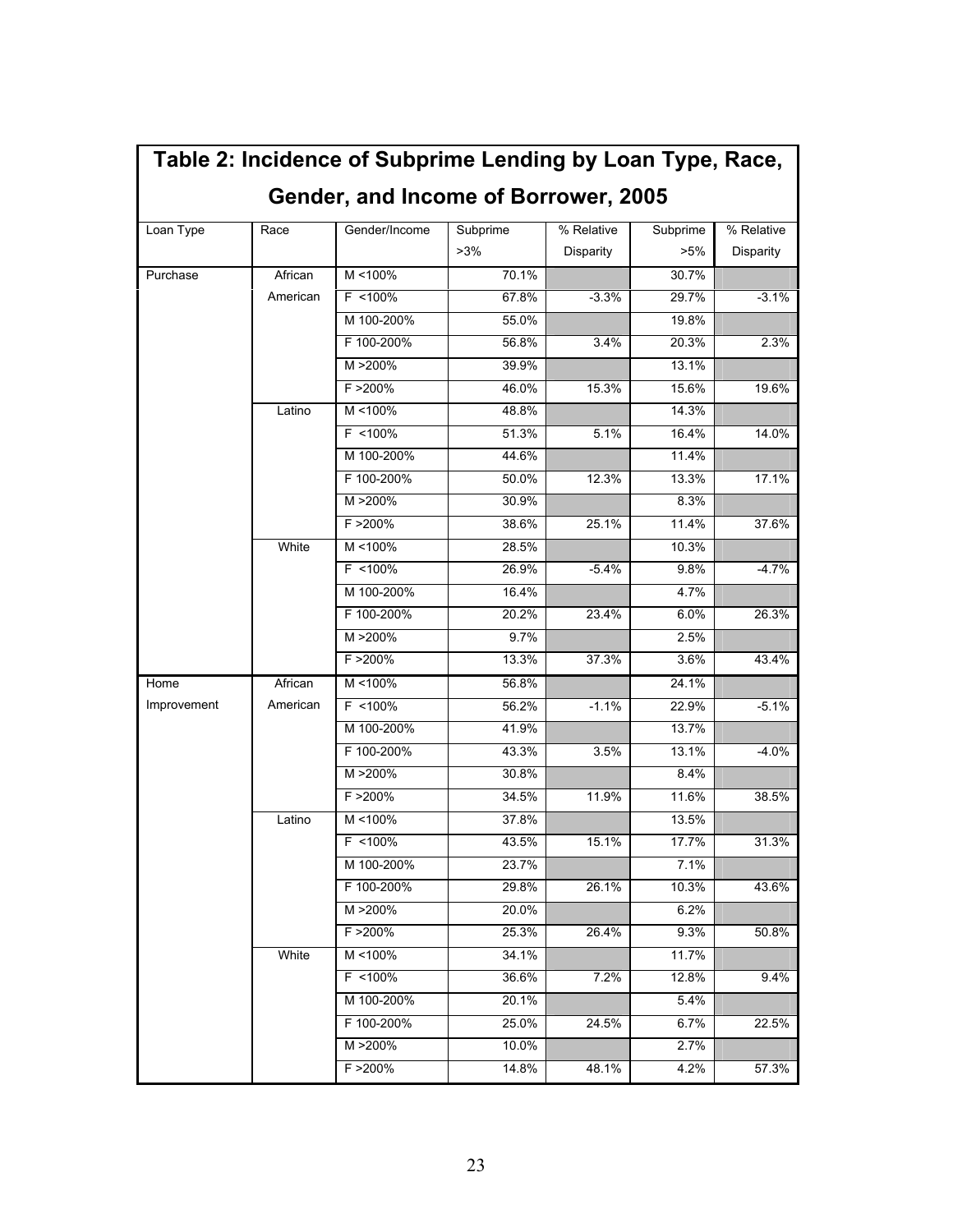| Table 2: Incidence of Subprime Lending by Loan Type, Race,<br>Gender, and Income of Borrower, 2005 |          |               |                 |                         |                    |                         |
|----------------------------------------------------------------------------------------------------|----------|---------------|-----------------|-------------------------|--------------------|-------------------------|
| Loan Type                                                                                          | Race     | Gender/Income | Subprime<br>>3% | % Relative<br>Disparity | Subprime<br>$>5\%$ | % Relative<br>Disparity |
| Purchase                                                                                           | African  | M <100%       | 70.1%           |                         | 30.7%              |                         |
|                                                                                                    | American | F <100%       | 67.8%           | $-3.3%$                 | 29.7%              | $-3.1%$                 |
|                                                                                                    |          | M 100-200%    | 55.0%           |                         | 19.8%              |                         |
|                                                                                                    |          | F 100-200%    | 56.8%           | 3.4%                    | 20.3%              | 2.3%                    |
|                                                                                                    |          | M >200%       | 39.9%           |                         | 13.1%              |                         |
|                                                                                                    |          | F > 200%      | 46.0%           | 15.3%                   | 15.6%              | 19.6%                   |
|                                                                                                    | Latino   | $M < 100\%$   | 48.8%           |                         | 14.3%              |                         |
|                                                                                                    |          | F <100%       | 51.3%           | 5.1%                    | 16.4%              | 14.0%                   |
|                                                                                                    |          | M 100-200%    | 44.6%           |                         | 11.4%              |                         |
|                                                                                                    |          | F 100-200%    | 50.0%           | 12.3%                   | 13.3%              | 17.1%                   |
|                                                                                                    |          | M >200%       | 30.9%           |                         | 8.3%               |                         |
|                                                                                                    |          | F >200%       | 38.6%           | 25.1%                   | 11.4%              | 37.6%                   |
|                                                                                                    | White    | M <100%       | 28.5%           |                         | 10.3%              |                         |
|                                                                                                    |          | $F$ <100%     | 26.9%           | $-5.4%$                 | 9.8%               | $-4.7%$                 |
|                                                                                                    |          | M 100-200%    | 16.4%           |                         | 4.7%               |                         |
|                                                                                                    |          | F 100-200%    | 20.2%           | 23.4%                   | 6.0%               | 26.3%                   |
|                                                                                                    |          | M >200%       | 9.7%            |                         | 2.5%               |                         |
|                                                                                                    |          | F > 200%      | 13.3%           | 37.3%                   | 3.6%               | 43.4%                   |
| Home                                                                                               | African  | M <100%       | 56.8%           |                         | 24.1%              |                         |
| Improvement                                                                                        | American | $F$ <100%     | 56.2%           | $-1.1%$                 | 22.9%              | $-5.1%$                 |
|                                                                                                    |          | M 100-200%    | 41.9%           |                         | 13.7%              |                         |
|                                                                                                    |          | F 100-200%    | 43.3%           | 3.5%                    | 13.1%              | $-4.0%$                 |
|                                                                                                    |          | M >200%       | 30.8%           |                         | 8.4%               |                         |
|                                                                                                    |          | $F > 200\%$   | 34.5%           | 11.9%                   | 11.6%              | 38.5%                   |
|                                                                                                    | Latino   | M <100%       | 37.8%           |                         | 13.5%              |                         |
|                                                                                                    |          | $F$ <100%     | 43.5%           | 15.1%                   | 17.7%              | 31.3%                   |
|                                                                                                    |          | M 100-200%    | 23.7%           |                         | 7.1%               |                         |
|                                                                                                    |          | F 100-200%    | 29.8%           | 26.1%                   | 10.3%              | 43.6%                   |
|                                                                                                    |          | M >200%       | 20.0%           |                         | 6.2%               |                         |
|                                                                                                    |          | $F > 200\%$   | 25.3%           | 26.4%                   | 9.3%               | 50.8%                   |
|                                                                                                    | White    | M <100%       | 34.1%           |                         | 11.7%              |                         |
|                                                                                                    |          | $F$ <100%     | 36.6%           | 7.2%                    | 12.8%              | 9.4%                    |
|                                                                                                    |          | M 100-200%    | 20.1%           |                         | 5.4%               |                         |
|                                                                                                    |          | F 100-200%    | 25.0%           | 24.5%                   | 6.7%               | 22.5%                   |
|                                                                                                    |          | M >200%       | 10.0%           |                         | 2.7%               |                         |
|                                                                                                    |          | F > 200%      | 14.8%           | 48.1%                   | 4.2%               | 57.3%                   |